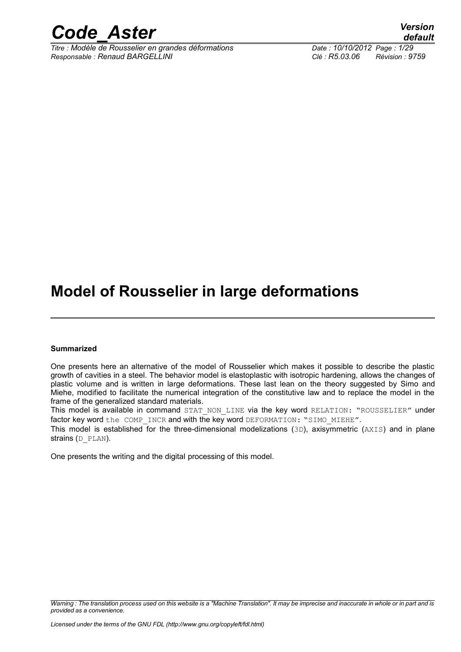

*Titre : Modèle de Rousselier en grandes déformations Date : 10/10/2012 Page : 1/29 Responsable : Renaud BARGELLINI Clé : R5.03.06 Révision : 9759*

*default*

# **Model of Rousselier in large deformations**

#### **Summarized**

One presents here an alternative of the model of Rousselier which makes it possible to describe the plastic growth of cavities in a steel. The behavior model is elastoplastic with isotropic hardening, allows the changes of plastic volume and is written in large deformations. These last lean on the theory suggested by Simo and Miehe, modified to facilitate the numerical integration of the constitutive law and to replace the model in the frame of the generalized standard materials.

This model is available in command STAT NON LINE via the key word RELATION: "ROUSSELIER" under factor key word the COMP\_INCR and with the key word DEFORMATION: "SIMO\_MIEHE".

This model is established for the three-dimensional modelizations (3D), axisymmetric (AXIS) and in plane strains (D\_PLAN).

One presents the writing and the digital processing of this model.

*Warning : The translation process used on this website is a "Machine Translation". It may be imprecise and inaccurate in whole or in part and is provided as a convenience.*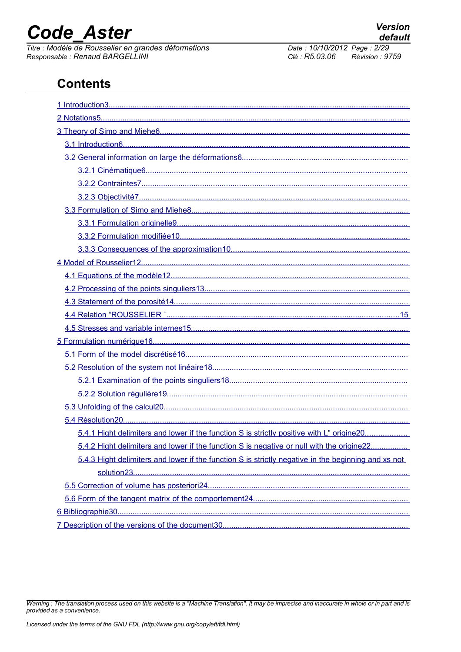# **Code Aster**

Titre : Modèle de Rousselier en grandes déformations Responsable : Renaud BARGELLINI

#### Date: 10/10/2012 Page: 2/29 Clé : R5.03.06  $Révision : 9759$

### **Contents**

| 5.4.1 Hight delimiters and lower if the function S is strictly positive with L" origine 20          |
|-----------------------------------------------------------------------------------------------------|
| 5.4.2 Hight delimiters and lower if the function S is negative or null with the origine22           |
| 5.4.3 Hight delimiters and lower if the function S is strictly negative in the beginning and xs not |
|                                                                                                     |
|                                                                                                     |
|                                                                                                     |
|                                                                                                     |
|                                                                                                     |

Warning : The translation process used on this website is a "Machine Translation". It may be imprecise and inaccurate in whole or in part and is provided as a convenience.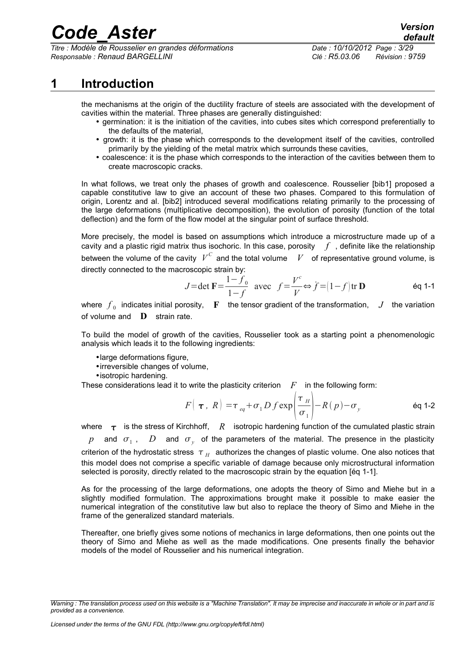*Titre : Modèle de Rousselier en grandes déformations Date : 10/10/2012 Page : 3/29 Responsable : Renaud BARGELLINI Clé : R5.03.06 Révision : 9759*

### **1 Introduction**

<span id="page-2-0"></span>the mechanisms at the origin of the ductility fracture of steels are associated with the development of cavities within the material. Three phases are generally distinguished:

- germination: it is the initiation of the cavities, into cubes sites which correspond preferentially to the defaults of the material,
- growth: it is the phase which corresponds to the development itself of the cavities, controlled primarily by the yielding of the metal matrix which surrounds these cavities,
- coalescence: it is the phase which corresponds to the interaction of the cavities between them to create macroscopic cracks.

In what follows, we treat only the phases of growth and coalescence. Rousselier [bib1] proposed a capable constitutive law to give an account of these two phases. Compared to this formulation of origin, Lorentz and al. [bib2] introduced several modifications relating primarily to the processing of the large deformations (multiplicative decomposition), the evolution of porosity (function of the total deflection) and the form of the flow model at the singular point of surface threshold.

More precisely, the model is based on assumptions which introduce a microstructure made up of a cavity and a plastic rigid matrix thus isochoric. In this case, porosity  $f$ , definite like the relationship between the volume of the cavity  $|V^C|$  and the total volume  $|V|$  of representative ground volume, is directly connected to the macroscopic strain by:

$$
J = \det \mathbf{F} = \frac{1 - f_0}{1 - f} \text{ avec } f = \frac{V^c}{V} \Leftrightarrow f = (1 - f) \text{ tr } \mathbf{D}
$$
 eq 1-1

where  $\overline{f}_0$  indicates initial porosity,  $\;\;\mathbf{F}\;$  the tensor gradient of the transformation,  $\;\;\mathbf{J}\;$  the variation of volume and **D** strain rate.

To build the model of growth of the cavities, Rousselier took as a starting point a phenomenologic analysis which leads it to the following ingredients:

•large deformations figure,

•irreversible changes of volume,

•isotropic hardening.

These considerations lead it to write the plasticity criterion  $F$  in the following form:

$$
F\left(\boldsymbol{\tau}, R\right) = \tau_{eq} + \sigma_1 D f \exp\left(\frac{\tau_H}{\sigma_1}\right) - R(p) - \sigma_y
$$

where  $\tau$  is the stress of Kirchhoff, R isotropic hardening function of the cumulated plastic strain  $p$  and  $\sigma$ <sub>1</sub>, *D* and  $\sigma$ <sub>y</sub> of the parameters of the material. The presence in the plasticity criterion of the hydrostatic stress  $\|\tau_{_H}\|$  authorizes the changes of plastic volume. One also notices that this model does not comprise a specific variable of damage because only microstructural information selected is porosity, directly related to the macroscopic strain by the equation [éq 1-1].

As for the processing of the large deformations, one adopts the theory of Simo and Miehe but in a slightly modified formulation. The approximations brought make it possible to make easier the numerical integration of the constitutive law but also to replace the theory of Simo and Miehe in the frame of the generalized standard materials.

Thereafter, one briefly gives some notions of mechanics in large deformations, then one points out the theory of Simo and Miehe as well as the made modifications. One presents finally the behavior models of the model of Rousselier and his numerical integration.

*Warning : The translation process used on this website is a "Machine Translation". It may be imprecise and inaccurate in whole or in part and is provided as a convenience.*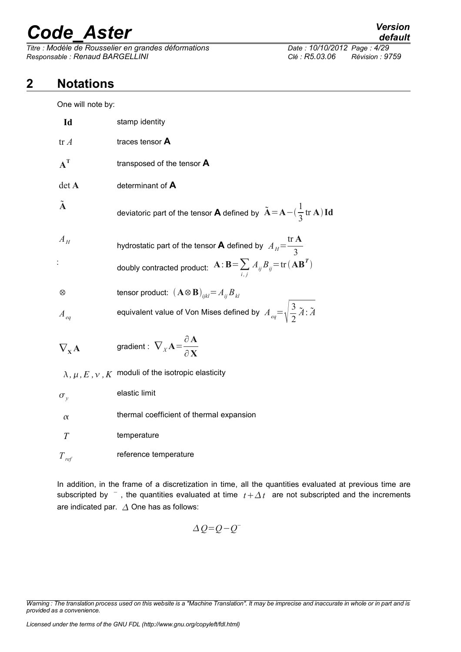*Titre : Modèle de Rousselier en grandes déformations Date : 10/10/2012 Page : 4/29 Responsable : Renaud BARGELLINI Clé : R5.03.06 Révision : 9759*

### **2 Notations**

<span id="page-3-0"></span>One will note by:

| Id                              | stamp identity                                                                                                       |
|---------------------------------|----------------------------------------------------------------------------------------------------------------------|
| tr A                            | traces tensor A                                                                                                      |
| $A^T$                           | transposed of the tensor $\boldsymbol{A}$                                                                            |
| det A                           | determinant of A                                                                                                     |
| $\tilde{\mathbf{A}}$            | deviatoric part of the tensor <b>A</b> defined by $\tilde{A} = A - (\frac{1}{3} \text{tr } A) \text{Id}$             |
| $A_H$                           | hydrostatic part of the tensor <b>A</b> defined by $A_H = \frac{\text{tr } \mathbf{A}}{2}$                           |
|                                 | doubly contracted product: $\mathbf{A} : \mathbf{B} = \sum_{i,j} A_{ij} B_{ij} = \text{tr}(\mathbf{A} \mathbf{B}^T)$ |
| $^{\circ}$                      | tensor product: $(\mathbf{A} \otimes \mathbf{B})_{ijkl} = A_{ij} B_{kl}$                                             |
| $A_{eq}$                        | equivalent value of Von Mises defined by $A_{eq} = \sqrt{\frac{3}{2}} \tilde{A}$ : $\tilde{A}$                       |
| $\nabla_{\mathbf{x}}\mathbf{A}$ | gradient : $\nabla_X \mathbf{A} = \frac{\partial \mathbf{A}}{\partial \mathbf{Y}}$                                   |
|                                 | $\lambda$ , $\mu$ , $E$ , $\nu$ , $K$ moduli of the isotropic elasticity                                             |
| $\sigma_{v}$                    | elastic limit                                                                                                        |
| $\alpha$                        | thermal coefficient of thermal expansion                                                                             |
| T                               | temperature                                                                                                          |
| $T_{\it ref}$                   | reference temperature                                                                                                |

In addition, in the frame of a discretization in time, all the quantities evaluated at previous time are subscripted by  $\overline{\phantom{a}}$ , the quantities evaluated at time  $t + \Delta t$  are not subscripted and the increments are indicated par.  $\Delta$  One has as follows:

$$
\Delta Q = Q - Q^{-}
$$

*Warning : The translation process used on this website is a "Machine Translation". It may be imprecise and inaccurate in whole or in part and is provided as a convenience.*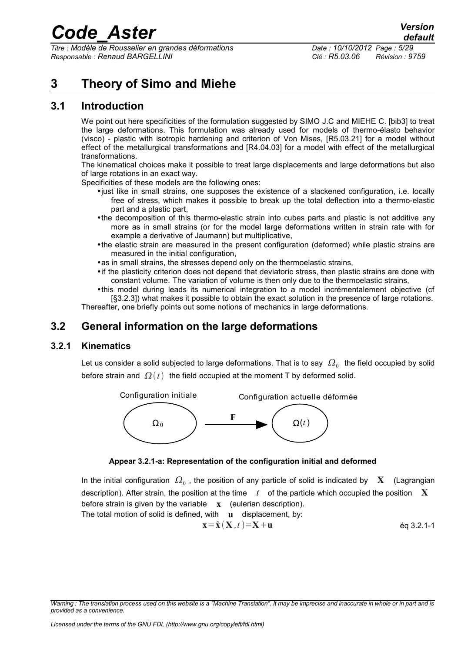*Titre : Modèle de Rousselier en grandes déformations Date : 10/10/2012 Page : 5/29 Responsable : Renaud BARGELLINI Clé : R5.03.06 Révision : 9759*

### <span id="page-4-3"></span>**3 Theory of Simo and Miehe**

### **3.1 Introduction**

<span id="page-4-2"></span>We point out here specificities of the formulation suggested by SIMO J.C and MIEHE C. [bib3] to treat the large deformations. This formulation was already used for models of thermo-élasto behavior (visco) - plastic with isotropic hardening and criterion of Von Mises, [R5.03.21] for a model without effect of the metallurgical transformations and [R4.04.03] for a model with effect of the metallurgical transformations.

The kinematical choices make it possible to treat large displacements and large deformations but also of large rotations in an exact way.

Specificities of these models are the following ones:

- •just like in small strains, one supposes the existence of a slackened configuration, i.e. locally free of stress, which makes it possible to break up the total deflection into a thermo-elastic part and a plastic part,
- •the decomposition of this thermo-elastic strain into cubes parts and plastic is not additive any more as in small strains (or for the model large deformations written in strain rate with for example a derivative of Jaumann) but multiplicative,
- •the elastic strain are measured in the present configuration (deformed) while plastic strains are measured in the initial configuration,
- •as in small strains, the stresses depend only on the thermoelastic strains,
- •if the plasticity criterion does not depend that deviatoric stress, then plastic strains are done with constant volume. The variation of volume is then only due to the thermoelastic strains,
- •this model during leads its numerical integration to a model incrémentalement objective (cf [§3.2.3]) what makes it possible to obtain the exact solution in the presence of large rotations.

<span id="page-4-1"></span>Thereafter, one briefly points out some notions of mechanics in large deformations.

### **3.2 General information on the large deformations**

#### **3.2.1 Kinematics**

<span id="page-4-0"></span>Let us consider a solid subjected to large deformations. That is to say  $\,\varOmega_{0}\,$  the field occupied by solid before strain and  $\Omega(t)$  the field occupied at the moment T by deformed solid.





In the initial configuration  $\,\varOmega_{_0}$  , the position of any particle of solid is indicated by  $\,\mathbf{X}\,$  (Lagrangian description). After strain, the position at the time *t* of the particle which occupied the position X before strain is given by the variable **x** (eulerian description).

The total motion of solid is defined, with **u** displacement, by:

$$
\mathbf{x} = \hat{\mathbf{x}} \left( \mathbf{X}, t \right) = \mathbf{X} + \mathbf{u} \tag{6q 3.2.1-1}
$$

*Warning : The translation process used on this website is a "Machine Translation". It may be imprecise and inaccurate in whole or in part and is provided as a convenience.*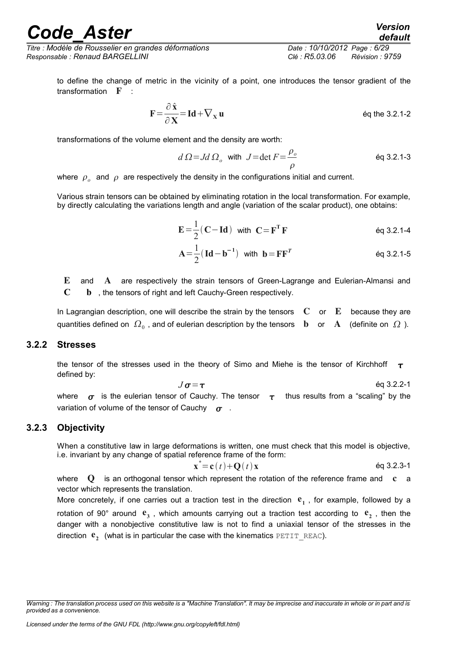*Titre : Modèle de Rousselier en grandes déformations Date : 10/10/2012 Page : 6/29 Responsable : Renaud BARGELLINI Clé : R5.03.06 Révision : 9759*

to define the change of metric in the vicinity of a point, one introduces the tensor gradient of the transformation F :

$$
\mathbf{F} = \frac{\partial \hat{\mathbf{x}}}{\partial \mathbf{X}} = \mathbf{Id} + \nabla_{\mathbf{x}} \mathbf{u}
$$
 eq the 3.2.1-2

transformations of the volume element and the density are worth:

$$
d\Omega = Jd\Omega_o
$$
 with  $J = \det F = \frac{\rho_o}{\rho}$  \t\t\t\t $\text{éq 3.2.1-3}$ 

where  $\rho_{o}^{\parallel}$  and  $\rho$  are respectively the density in the configurations initial and current.

Various strain tensors can be obtained by eliminating rotation in the local transformation. For example, by directly calculating the variations length and angle (variation of the scalar product), one obtains:

$$
\mathbf{E} = \frac{1}{2} (\mathbf{C} - \mathbf{Id}) \text{ with } \mathbf{C} = \mathbf{F}^{\mathrm{T}} \mathbf{F} \qquad \text{Eq 3.2.1-4}
$$

$$
A = \frac{1}{2} (Id - b^{-1}) \text{ with } b = FF^{T}
$$
 eq 3.2.1-5

E and A are respectively the strain tensors of Green-Lagrange and Eulerian-Almansi and **C b** , the tensors of right and left Cauchy-Green respectively.

In Lagrangian description, one will describe the strain by the tensors  $\mathbf C$  or  $\mathbf E$  because they are quantities defined on  $\,\varOmega_{_0}$  , and of eulerian description by the tensors  $\,\mathbf{\,b}\,\,$  or  $\,\mathbf{\,A}\,\,$  (definite on  $\,\varOmega$  ).

#### **3.2.2 Stresses**

<span id="page-5-1"></span>the tensor of the stresses used in the theory of Simo and Miehe is the tensor of Kirchhoff  $\tau$ defined by:

 $J\sigma = \tau$  éq 3.2.2-1 where  $\sigma$  is the eulerian tensor of Cauchy. The tensor  $\tau$  thus results from a "scaling" by the variation of volume of the tensor of Cauchy  $\sigma$ .

#### **3.2.3 Objectivity**

<span id="page-5-0"></span>When a constitutive law in large deformations is written, one must check that this model is objective, i.e. invariant by any change of spatial reference frame of the form:

$$
\mathbf{x}^* = \mathbf{c}(t) + \mathbf{Q}(t)\mathbf{x}
$$

where  $Q$  is an orthogonal tensor which represent the rotation of the reference frame and  $c$  a vector which represents the translation.

More concretely, if one carries out a traction test in the direction  $e_1$ , for example, followed by a rotation of 90° around  $e_3$ , which amounts carrying out a traction test according to  $e_2$ , then the danger with a nonobjective constitutive law is not to find a uniaxial tensor of the stresses in the direction  $\mathbf{e}_2$  (what is in particular the case with the kinematics  $\texttt{PETIT\_REAC}$ ).

*Warning : The translation process used on this website is a "Machine Translation". It may be imprecise and inaccurate in whole or in part and is provided as a convenience.*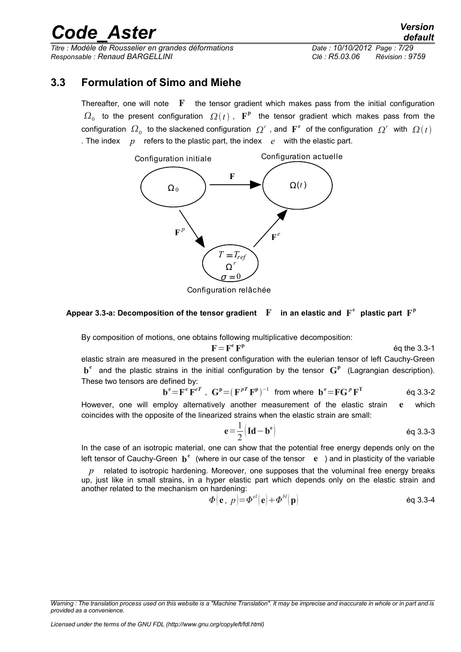*Titre : Modèle de Rousselier en grandes déformations Date : 10/10/2012 Page : 7/29 Responsable : Renaud BARGELLINI Clé : R5.03.06 Révision : 9759*

### **3.3 Formulation of Simo and Miehe**

<span id="page-6-0"></span>Thereafter, one will note  $\mathbf F$  the tensor gradient which makes pass from the initial configuration  $\Omega_0$  to the present configuration  $\Omega(t)$ ,  $\mathbf{F}^{\mathbf{p}}$  the tensor gradient which makes pass from the configuration  $\Omega_0$  to the slackened configuration  $\Omega^r$  , and  $\mathbf{F}^e$  of the configuration  $\Omega^r$  with  $\Omega(t)$ . The index  $p$  refers to the plastic part, the index  $e$  with the elastic part.



Configuration relâchée

#### **Appear 3.3-a: Decomposition of the tensor gradient** F **in an elastic and F**  $^{\rm e}$  plastic part  $\mathbf{F}^{\rm p}$

By composition of motions, one obtains following multiplicative decomposition:

 $\mathbf{F} = \mathbf{F}^{\mathbf{e}} \mathbf{F}^{\mathbf{p}}$ 

éq the 3.3-1

elastic strain are measured in the present configuration with the eulerian tensor of left Cauchy-Green **b e** and the plastic strains in the initial configuration by the tensor **G p** (Lagrangian description). These two tensors are defined by:

$$
e = \mathbf{F}^e \mathbf{F}^{eT} \ , \ \mathbf{G}^p = (\mathbf{F}^{pT} \mathbf{F}^p)^{-1} \ \text{ from where } \mathbf{b}^e = \mathbf{F} \mathbf{G}^p \mathbf{F}^T \qquad \text{Eq 3.3-2}
$$

However, one will employ alternatively another measurement of the elastic strain e which coincides with the opposite of the linearized strains when the elastic strain are small:

$$
e = \frac{1}{2} \left( \text{Id} - b^e \right) \tag{6q 3.3-3}
$$

In the case of an isotropic material, one can show that the potential free energy depends only on the left tensor of Cauchy-Green **b**<sup>e</sup> (where in our case of the tensor e ) and in plasticity of the variable

*p* related to isotropic hardening. Moreover, one supposes that the voluminal free energy breaks up, just like in small strains, in a hyper elastic part which depends only on the elastic strain and another related to the mechanism on hardening:

$$
\boldsymbol{\Phi}(\mathbf{e},\ p) = \boldsymbol{\Phi}^{el}(\mathbf{e}) + \boldsymbol{\Phi}^{bl}(\mathbf{p})
$$

**b**

*Warning : The translation process used on this website is a "Machine Translation". It may be imprecise and inaccurate in whole or in part and is provided as a convenience.*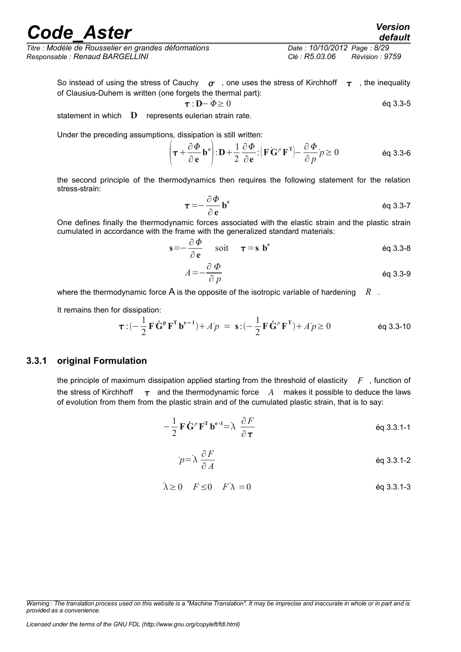*Titre : Modèle de Rousselier en grandes déformations Date : 10/10/2012 Page : 8/29 Responsable : Renaud BARGELLINI Clé : R5.03.06 Révision : 9759*

So instead of using the stress of Cauchy  $\sigma$ , one uses the stress of Kirchhoff  $\tau$ , the inequality of Clausius-Duhem is written (one forgets the thermal part):

These the thermal part:

\n
$$
\tau : \mathbf{D} - \Phi \geq 0
$$
\nand

\n
$$
\mathbf{c} = \mathbf{D} \quad \mathbf{c} = \mathbf{D} \quad \mathbf{c} = \mathbf{D} \quad \mathbf{c} = \mathbf{D} \quad \mathbf{c} = \mathbf{D} \quad \mathbf{c} = \mathbf{D} \quad \mathbf{c} = \mathbf{D} \quad \mathbf{c} = \mathbf{D} \quad \mathbf{c} = \mathbf{D} \quad \mathbf{c} = \mathbf{D} \quad \mathbf{c} = \mathbf{D} \quad \mathbf{c} = \mathbf{D} \quad \mathbf{c} = \mathbf{D} \quad \mathbf{c} = \mathbf{D} \quad \mathbf{c} = \mathbf{D} \quad \mathbf{c} = \mathbf{D} \quad \mathbf{c} = \mathbf{D} \quad \mathbf{c} = \mathbf{D} \quad \mathbf{c} = \mathbf{D} \quad \mathbf{c} = \mathbf{D} \quad \mathbf{c} = \mathbf{D} \quad \mathbf{c} = \mathbf{D} \quad \mathbf{c} = \mathbf{D} \quad \mathbf{c} = \mathbf{D} \quad \mathbf{c} = \mathbf{D} \quad \mathbf{c} = \mathbf{D} \quad \mathbf{c} = \mathbf{D} \quad \mathbf{c} = \mathbf{D} \quad \mathbf{c} = \mathbf{D} \quad \mathbf{c} = \mathbf{D} \quad \mathbf{c} = \mathbf{D} \quad \mathbf{c} = \mathbf{D} \quad \mathbf{c} = \mathbf{D} \quad \mathbf{c} = \mathbf{D} \quad \mathbf{c} = \mathbf{D} \quad \mathbf{c} = \mathbf{D} \quad \mathbf{c} = \mathbf{D} \quad \mathbf{c} = \mathbf{D} \quad \mathbf{c} = \mathbf{D} \quad \mathbf{c} = \mathbf{D} \quad \mathbf{c} = \mathbf{D} \quad \mathbf{c} = \mathbf{D} \quad \mathbf{c} = \mathbf{D} \quad \mathbf{c} = \mathbf{D} \quad \mathbf{c} = \mathbf{D} \quad \mathbf{c} = \mathbf{D} \quad \mathbf{c} = \mathbf{D} \quad \mathbf{c} = \mathbf{D
$$

$$
T \cdot D^{-\psi} \leq 0
$$

statement in which  $\mathbf D$  represents eulerian strain rate.

Under the preceding assumptions, dissipation is still written:

$$
\left(\boldsymbol{\tau} + \frac{\partial \boldsymbol{\Phi}}{\partial \mathbf{e}} \mathbf{b}^{\mathbf{e}}\right) : \mathbf{D} + \frac{1}{2} \frac{\partial \boldsymbol{\Phi}}{\partial \mathbf{e}} : \left(\mathbf{F} \mathbf{G}^{p} \mathbf{F}^{\mathbf{T}}\right) - \frac{\partial \boldsymbol{\Phi}}{\partial p} p \ge 0 \tag{6q 3.3-6}
$$

the second principle of the thermodynamics then requires the following statement for the relation stress-strain:

$$
\tau = -\frac{\partial \Phi}{\partial e} b^e
$$
 eq 3.3-7

One defines finally the thermodynamic forces associated with the elastic strain and the plastic strain cumulated in accordance with the frame with the generalized standard materials:

$$
\mathbf{s} = -\frac{\partial \Phi}{\partial \mathbf{e}} \quad \text{soit} \quad \boldsymbol{\tau} = \mathbf{s} \; \mathbf{b}^{\mathbf{e}} \tag{6q 3.3-8}
$$

$$
A = -\frac{\partial \Phi}{\partial p}
$$

where the thermodynamic force A is the opposite of the isotropic variable of hardening *R* .

It remains then for dissipation:

$$
\boldsymbol{\tau} : (-\frac{1}{2} \mathbf{F} \dot{\mathbf{G}}^{\mathbf{p}} \mathbf{F}^{\mathbf{T}} \mathbf{b}^{\mathbf{e}-1}) + A'p = \mathbf{s} : (-\frac{1}{2} \mathbf{F} \dot{\mathbf{G}}^{\mathbf{p}} \mathbf{F}^{\mathbf{T}}) + A'p \ge 0
$$
 eq 3.3-10

#### **3.3.1 original Formulation**

<span id="page-7-0"></span>the principle of maximum dissipation applied starting from the threshold of elasticity *F* , function of the stress of Kirchhoff  $\tau$  and the thermodynamic force A makes it possible to deduce the laws of evolution from them from the plastic strain and of the cumulated plastic strain, that is to say:

$$
-\frac{1}{2} \mathbf{F} \dot{\mathbf{G}}^p \mathbf{F}^{\mathrm{T}} \mathbf{b}^{\mathrm{e-1}} = \lambda \frac{\partial F}{\partial \tau}
$$

$$
p = \lambda \frac{\partial F}{\partial A}
$$
 eq 3.3.1-2

$$
\lambda \ge 0 \quad F \le 0 \quad F \lambda = 0 \tag{6q 3.3.1-3}
$$

*Warning : The translation process used on this website is a "Machine Translation". It may be imprecise and inaccurate in whole or in part and is provided as a convenience.*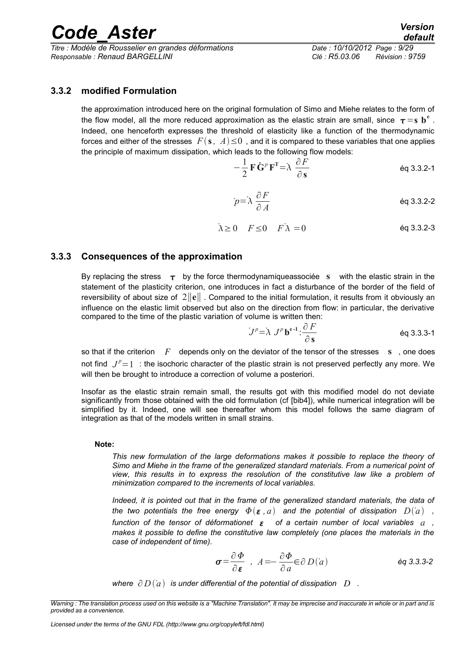*Titre : Modèle de Rousselier en grandes déformations Date : 10/10/2012 Page : 9/29 Responsable : Renaud BARGELLINI Clé : R5.03.06 Révision : 9759*

## *default*

#### **3.3.2 modified Formulation**

<span id="page-8-1"></span>the approximation introduced here on the original formulation of Simo and Miehe relates to the form of the flow model, all the more reduced approximation as the elastic strain are small, since  $\tau = s$   $\mathbf{b}^e$  . Indeed, one henceforth expresses the threshold of elasticity like a function of the thermodynamic forces and either of the stresses  $F(s, A) \leq 0$ , and it is compared to these variables that one applies the principle of maximum dissipation, which leads to the following flow models:

$$
-\frac{1}{2}\mathbf{F}\dot{\mathbf{G}}^p\mathbf{F}^{\mathrm{T}}=\lambda \frac{\partial F}{\partial \mathbf{s}}
$$

$$
p = \lambda \frac{\partial F}{\partial A}
$$
 eq 3.3.2-2

 $\lambda > 0$   $F < 0$   $F \lambda = 0$  ég 3.3.2-3

#### **3.3.3 Consequences of the approximation**

<span id="page-8-0"></span>By replacing the stress  $\tau$  by the force thermodynamiqueassociée s with the elastic strain in the statement of the plasticity criterion, one introduces in fact a disturbance of the border of the field of reversibility of about size of 2∥**e**∥ . Compared to the initial formulation, it results from it obviously an influence on the elastic limit observed but also on the direction from flow: in particular, the derivative compared to the time of the plastic variation of volume is written then:

$$
J^{p} = \lambda J^{p} \mathbf{b}^{e-1} : \frac{\partial F}{\partial \mathbf{s}}
$$

so that if the criterion F depends only on the deviator of the tensor of the stresses s, one does not find  $J^p=1$  : the isochoric character of the plastic strain is not preserved perfectly any more. We will then be brought to introduce a correction of volume a posteriori.

Insofar as the elastic strain remain small, the results got with this modified model do not deviate significantly from those obtained with the old formulation (cf [bib4]), while numerical integration will be simplified by it. Indeed, one will see thereafter whom this model follows the same diagram of integration as that of the models written in small strains.

#### **Note:**

*This new formulation of the large deformations makes it possible to replace the theory of Simo and Miehe in the frame of the generalized standard materials. From a numerical point of view, this results in to express the resolution of the constitutive law like a problem of minimization compared to the increments of local variables.*

*Indeed, it is pointed out that in the frame of the generalized standard materials, the data of the two potentials the free energy*  $\Phi(\varepsilon, a)$  *and the potential of dissipation*  $D(a)$ *, function of the tensor of déformationet of a certain number of local variables a , makes it possible to define the constitutive law completely (one places the materials in the case of independent of time).*

$$
\sigma = \frac{\partial \Phi}{\partial \varepsilon} , A = -\frac{\partial \Phi}{\partial a} \in \partial D(a) \qquad \text{Eq 3.3.3-2}
$$

*where*  $\partial D(a)$  *is under differential of the potential of dissipation*  $D$ .

*Warning : The translation process used on this website is a "Machine Translation". It may be imprecise and inaccurate in whole or in part and is provided as a convenience.*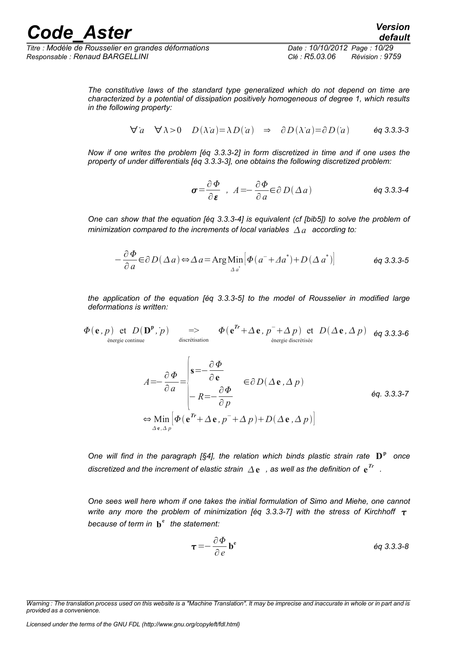*Titre : Modèle de Rousselier en grandes déformations Date : 10/10/2012 Page : 10/29 Responsable : Renaud BARGELLINI Clé : R5.03.06 Révision : 9759*

*The constitutive laws of the standard type generalized which do not depend on time are characterized by a potential of dissipation positively homogeneous of degree 1, which results in the following property:*

$$
\forall a \quad \forall \lambda > 0 \quad D(\lambda a) = \lambda D(a) \Rightarrow \partial D(\lambda a) = \partial D(a) \qquad \text{Eq 3.3.3-3}
$$

*Now if one writes the problem [éq 3.3.3-2] in form discretized in time and if one uses the property of under differentials [éq 3.3.3-3], one obtains the following discretized problem:*

$$
\sigma = \frac{\partial \Phi}{\partial \varepsilon} \quad , \quad A = -\frac{\partial \Phi}{\partial a} \in \partial D(\Delta a) \tag{6q 3.3.3-4}
$$

*One can show that the equation [éq 3.3.3-4] is equivalent (cf [bib5]) to solve the problem of minimization compared to the increments of local variables*  $\Delta a$  *according to:* 

$$
-\frac{\partial \Phi}{\partial a} \in \partial D(\Delta a) \Leftrightarrow \Delta a = \text{Arg Min} \Big[ \Phi(a^{-} + \Delta a^{*}) + D(\Delta a^{*}) \Big] \qquad \text{Eq 3.3.3-5}
$$

*the application of the equation [éq 3.3.3-5] to the model of Rousselier in modified large deformations is written:*

$$
\Phi(\mathbf{e}, p) \text{ et } D(\mathbf{D}^{\mathbf{p}}, p) \implies \Phi(\mathbf{e}^{Tr} + \Delta \mathbf{e}, p^{-} + \Delta p) \text{ et } D(\Delta \mathbf{e}, \Delta p) \text{ Eq 3.3.3-6 (therefore to the image of the image) of the image.}
$$

$$
A = -\frac{\partial \Phi}{\partial a} = \begin{vmatrix} \mathbf{s} = -\frac{\partial \Phi}{\partial \mathbf{e}} & \mathbf{e}_{\partial D}(\Delta \mathbf{e}, \Delta p) \\ -R = -\frac{\partial \Phi}{\partial p} & \mathbf{e}_{\partial D} \end{vmatrix}
$$
  
\n
$$
\Leftrightarrow \lim_{\Delta \mathbf{e}, \Delta p} [\Phi(\mathbf{e}^T + \Delta \mathbf{e}, p^T + \Delta p) + D(\Delta \mathbf{e}, \Delta p)]
$$

*One will find in the paragraph [§4], the relation which binds plastic strain rate*  $\mathbf{D}^{\mathrm{p}}$  once *discretized and the increment of elastic strain*  $\varDelta$  $\mathbf{e}$  *, as well as the definition of*  $\mathbf{e}^{Tr}$  *.* 

*One sees well here whom if one takes the initial formulation of Simo and Miehe, one cannot write any more the problem of minimization [éq 3.3.3-7] with the stress of Kirchhoff*  $\tau$ *because of term in* **b e** *the statement:*

$$
\tau = -\frac{\partial \Phi}{\partial e} b^e \qquad \qquad \text{Eq 3.3.3-8}
$$

*Warning : The translation process used on this website is a "Machine Translation". It may be imprecise and inaccurate in whole or in part and is provided as a convenience.*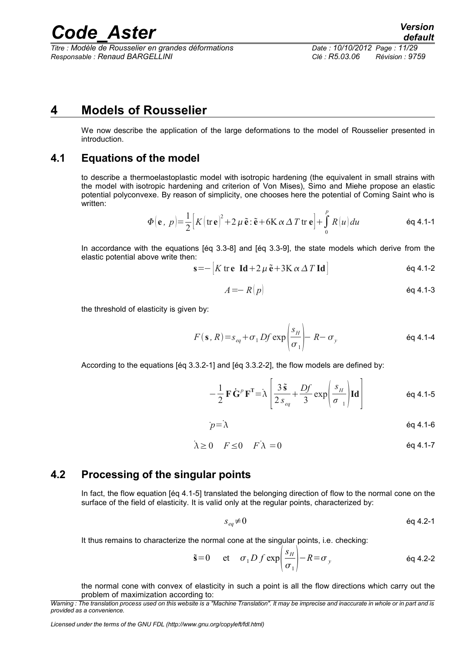*Titre : Modèle de Rousselier en grandes déformations Date : 10/10/2012 Page : 11/29 Responsable : Renaud BARGELLINI Clé : R5.03.06 Révision : 9759*

### **4 Models of Rousselier**

<span id="page-10-2"></span>We now describe the application of the large deformations to the model of Rousselier presented in introduction.

### **4.1 Equations of the model**

<span id="page-10-1"></span>to describe a thermoelastoplastic model with isotropic hardening (the equivalent in small strains with the model with isotropic hardening and criterion of Von Mises), Simo and Miehe propose an elastic potential polyconvexe. By reason of simplicity, one chooses here the potential of Coming Saint who is written:

$$
\Phi(\mathbf{e}, p) = \frac{1}{2} \Big[ K (\mathbf{tr} \, \mathbf{e})^2 + 2 \, \mu \, \tilde{\mathbf{e}} \cdot \tilde{\mathbf{e}} + 6 \mathbf{K} \, \alpha \, \Delta \, T \, \mathbf{tr} \, \mathbf{e} \Big] + \int_{0}^{p} R(u) \, du \tag{6q 4.1-1}
$$

In accordance with the equations [éq 3.3-8] and [éq 3.3-9], the state models which derive from the elastic potential above write then:

$$
\mathbf{s} = -\left[K \operatorname{tr} \mathbf{e} \ \mathbf{Id} + 2\,\mu \, \mathbf{\tilde{e}} + 3\mathbf{K} \, \alpha \, \Delta \, T \, \mathbf{Id}\right] \tag{6q 4.1-2}
$$

$$
A = -R(p) \tag{6q 4.1-3}
$$

the threshold of elasticity is given by:

$$
F(\mathbf{s}, R) = s_{eq} + \sigma_1 Df \exp\left(\frac{s_H}{\sigma_1}\right) - R - \sigma_y
$$

According to the equations [éq 3.3.2-1] and [éq 3.3.2-2], the flow models are defined by:

$$
-\frac{1}{2}\mathbf{F}\dot{\mathbf{G}}^{p}\mathbf{F}^{\mathrm{T}}=\lambda\left[\frac{3\,\tilde{\mathbf{s}}}{2\,s_{eq}}+\frac{Df}{3}\exp\left(\frac{s_{H}}{\sigma_{1}}\right)\mathbf{Id}\right]
$$
\n
$$
\qquad \qquad \text{Eq 4.1-5}
$$

$$
p = \lambda \tag{6.4.1-6}
$$

$$
\dot{\lambda} \ge 0 \quad F \le 0 \quad F \dot{\lambda} = 0 \tag{6q 4.1-7}
$$

### **4.2 Processing of the singular points**

<span id="page-10-0"></span>In fact, the flow equation [éq 4.1-5] translated the belonging direction of flow to the normal cone on the surface of the field of elasticity. It is valid only at the regular points, characterized by:

$$
s_{eq} \neq 0 \tag{6q 4.2-1}
$$

It thus remains to characterize the normal cone at the singular points, i.e. checking:

$$
\tilde{\mathbf{s}} = 0 \quad \text{et} \quad \sigma_1 D f \exp\left(\frac{s_H}{\sigma_1}\right) - R = \sigma_y \quad \text{eq 4.2-2}
$$

the normal cone with convex of elasticity in such a point is all the flow directions which carry out the problem of maximization according to:

*Warning : The translation process used on this website is a "Machine Translation". It may be imprecise and inaccurate in whole or in part and is provided as a convenience.*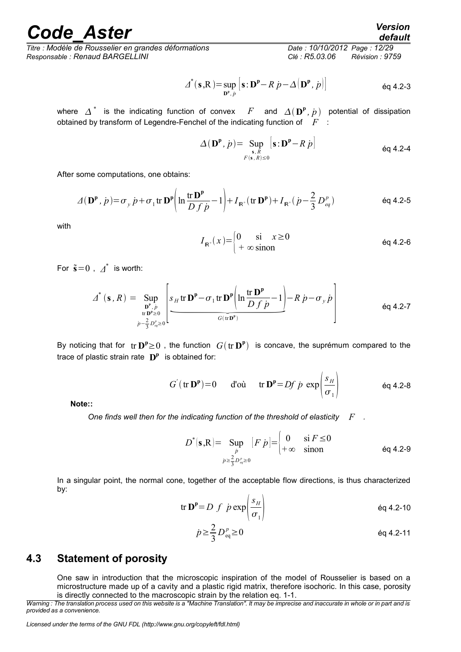*Titre : Modèle de Rousselier en grandes déformations Date : 10/10/2012 Page : 12/29 Responsable : Renaud BARGELLINI Clé : R5.03.06 Révision : 9759*

$$
\Delta^*(\mathbf{s}, \mathbf{R}) = \sup_{\mathbf{D}^{\mathbf{P}}, p} \left[ \mathbf{s} : \mathbf{D}^{\mathbf{P}} - R \ p - \Delta(\mathbf{D}^{\mathbf{P}}, p) \right] \tag{6q 4.2-3}
$$

where  $\Delta^*$  is the indicating function of convex  $F$  and  $\Delta(\mathbf{D}^{\mathbf{p}},\dot{p})$  potential of dissipation obtained by transform of Legendre-Fenchel of the indicating function of *F* :

$$
\Delta(\mathbf{D}^{\mathbf{p}}, \dot{p}) = \sup_{\substack{\mathbf{s}, R \\ F(\mathbf{s}, R) \le 0}} \left| \mathbf{s} : \mathbf{D}^{\mathbf{p}} - R \dot{p} \right| \tag{6q 4.2-4}
$$

After some computations, one obtains:

$$
\varDelta(\mathbf{D}^{\mathbf{p}},\,\dot{p}) = \sigma_{y}\,\dot{p} + \sigma_{1}\,\text{tr}\,\mathbf{D}^{\mathbf{p}}\bigg(\ln\frac{\text{tr}\,\mathbf{D}^{\mathbf{p}}}{D\,f\,\dot{p}} - 1\bigg) + I_{\mathbf{R}^{+}}(\text{tr}\,\mathbf{D}^{\mathbf{p}}) + I_{\mathbf{R}^{+}}(\,\dot{p} - \frac{2}{3}\,D_{eq}^{p})\tag{6q\,4.2-5}
$$

with

$$
I_{\mathbb{R}^+}(x) = \begin{cases} 0 & \text{si } x \ge 0 \\ +\infty \text{ sinon} \end{cases}
$$
 eq 4.2-6

For  $\tilde{\mathbf{s}}=0$ ,  $\Delta^*$  is worth:

$$
I_{\mathbb{R}^+}(x) = \begin{cases} 0 & \text{si } x \ge 0 \\ +\infty \text{ sinon} \end{cases}
$$
 eq 4.2-6  
, 
$$
A^*
$$
 is worth:  

$$
A^*(\mathbf{s}, R) = \sup_{\substack{\mathbf{D}^{\mathbf{p}}, \dot{p} \\ \text{tr } \mathbf{D}^{\mathbf{p}} \ge 0}} \left[ \underbrace{s_H \text{ tr } \mathbf{D}^{\mathbf{p}} - \sigma_1 \text{ tr } \mathbf{D}^{\mathbf{p}} \left( \ln \frac{\text{tr } \mathbf{D}^{\mathbf{p}}}{D f \dot{p}} - 1 \right)}_{G(\text{tr } \mathbf{D}^{\mathbf{p}})} - R \dot{p} - \sigma_y \dot{p} \right]
$$
 eq 4.2-7

By noticing that for  $tr \mathbf{D}^p \geq 0$  , the function  $G(tr \mathbf{D}^p)$  is concave, the suprémum compared to the trace of plastic strain rate **D p** is obtained for:

$$
G'(\text{tr }\mathbf{D}^{\mathbf{p}})=0
$$
 d'où tr  $\mathbf{D}^{\mathbf{p}}=Df\dot{p}\exp\left(\frac{s_H}{\sigma_1}\right)$  éq 4.2-8

 $\lambda$ 

**Note::**

*One finds well then for the indicating function of the threshold of elasticity F .*

$$
D^*(\mathbf{s} , \mathbf{R}) = \sup_{\substack{p \\ p \ge \frac{2}{3} D_{eq}^p \ge 0}} [F \ p] = \begin{cases} 0 & \text{si } F \le 0 \\ +\infty & \text{sinon} \end{cases} \tag{6q 4.2-9}
$$

In a singular point, the normal cone, together of the acceptable flow directions, is thus characterized by:

$$
\text{tr } \mathbf{D}^{\mathbf{p}} = D \, f \, \dot{p} \exp\left(\frac{s_H}{\sigma_1}\right) \tag{6q 4.2-10}
$$

$$
\dot{p} \ge \frac{2}{3} D_{\text{eq}}^p \ge 0 \tag{6q 4.2-11}
$$

### **4.3 Statement of porosity**

<span id="page-11-0"></span>One saw in introduction that the microscopic inspiration of the model of Rousselier is based on a microstructure made up of a cavity and a plastic rigid matrix, therefore isochoric. In this case, porosity is directly connected to the macroscopic strain by the relation eq. 1-1.

*Warning : The translation process used on this website is a "Machine Translation". It may be imprecise and inaccurate in whole or in part and is provided as a convenience.*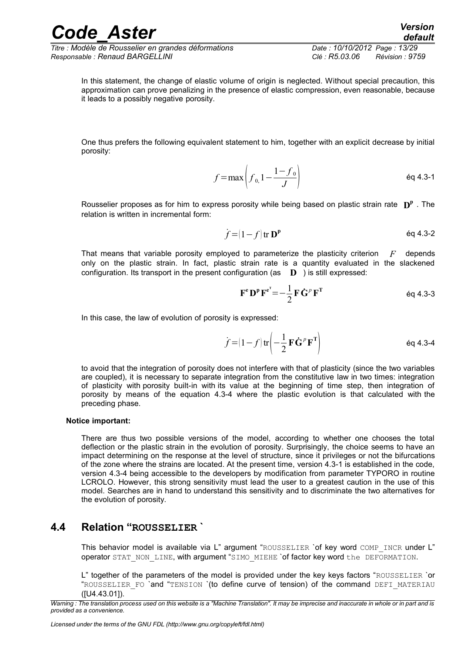*Titre : Modèle de Rousselier en grandes déformations Date : 10/10/2012 Page : 13/29 Responsable : Renaud BARGELLINI Clé : R5.03.06 Révision : 9759*

In this statement, the change of elastic volume of origin is neglected. Without special precaution, this approximation can prove penalizing in the presence of elastic compression, even reasonable, because it leads to a possibly negative porosity.

One thus prefers the following equivalent statement to him, together with an explicit decrease by initial porosity:

$$
f = \max \left( f_{0,1} - \frac{1 - f_0}{J} \right) \tag{6q 4.3-1}
$$

Rousselier proposes as for him to express porosity while being based on plastic strain rate **D p** . The relation is written in incremental form:

$$
\dot{f} = (1 - f) \text{tr } \mathbf{D}^{\mathbf{p}} \qquad \text{Eq 4.3-2}
$$

That means that variable porosity employed to parameterize the plasticity criterion *F* depends only on the plastic strain. In fact, plastic strain rate is a quantity evaluated in the slackened configuration. Its transport in the present configuration (as **D** ) is still expressed:

$$
\mathbf{F}^{\mathbf{e}} \mathbf{D}^{\mathbf{p}} \mathbf{F}^{\mathbf{e}^{\mathbf{T}}} = -\frac{1}{2} \mathbf{F} \dot{\mathbf{G}}^{\rho} \mathbf{F}^{\mathbf{T}}
$$

In this case, the law of evolution of porosity is expressed:

$$
\dot{f} = (1 - f) \operatorname{tr} \left( -\frac{1}{2} \mathbf{F} \dot{\mathbf{G}}^P \mathbf{F}^{\mathrm{T}} \right) \tag{6q 4.3-4}
$$

to avoid that the integration of porosity does not interfere with that of plasticity (since the two variables are coupled), it is necessary to separate integration from the constitutive law in two times: integration of plasticity with porosity built-in with its value at the beginning of time step, then integration of porosity by means of the equation 4.3-4 where the plastic evolution is that calculated with the preceding phase.

#### **Notice important:**

There are thus two possible versions of the model, according to whether one chooses the total deflection or the plastic strain in the evolution of porosity. Surprisingly, the choice seems to have an impact determining on the response at the level of structure, since it privileges or not the bifurcations of the zone where the strains are located. At the present time, version 4.3-1 is established in the code, version 4.3-4 being accessible to the developers by modification from parameter TYPORO in routine LCROLO. However, this strong sensitivity must lead the user to a greatest caution in the use of this model. Searches are in hand to understand this sensitivity and to discriminate the two alternatives for the evolution of porosity.

### **4.4 Relation "ROUSSELIER `**

<span id="page-12-0"></span>This behavior model is available via L" argument "ROUSSELIER 'of key word COMP\_INCR under L" operator STAT\_NON\_LINE, with argument "SIMO\_MIEHE `of factor key word the DEFORMATION.

L" together of the parameters of the model is provided under the key keys factors "ROUSSELIER `or "ROUSSELIER\_FO `and "TENSION `(to define curve of tension) of the command DEFI\_MATERIAU ([U4.43.01]).

*Warning : The translation process used on this website is a "Machine Translation". It may be imprecise and inaccurate in whole or in part and is provided as a convenience.*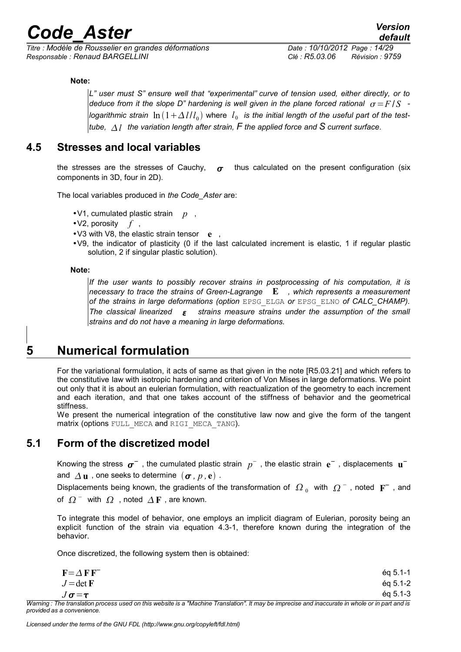*Titre : Modèle de Rousselier en grandes déformations Date : 10/10/2012 Page : 14/29 Responsable : Renaud BARGELLINI Clé : R5.03.06 Révision : 9759*

#### **Note:**

*L" user must S" ensure well that "experimental" curve of tension used, either directly, or to deduce from it the slope D" hardening is well given in the plane forced rational*  $\sigma$ *=F/S logarithmic strain*  $\ln\left(1+\Delta\,l/l_{_0}\right)$  where  $\,l_{_0}\,$  is the initial length of the useful part of the test*tube, l the variation length after strain, F the applied force and S current surface*.

### **4.5 Stresses and local variables**

<span id="page-13-2"></span>the stresses are the stresses of Cauchy,  $\sigma$  thus calculated on the present configuration (six components in 3D, four in 2D).

The local variables produced in *the Code\_Aster* are:

- •V1, cumulated plastic strain *p* ,
- •V2, porosity *f* ,
- •V3 with V8, the elastic strain tensor **e** ,
- •V9, the indicator of plasticity (0 if the last calculated increment is elastic, 1 if regular plastic solution, 2 if singular plastic solution).

**Note:**

*If the user wants to possibly recover strains in postprocessing of his computation, it is necessary to trace the strains of Green-Lagrange* **E** *, which represents a measurement of the strains in large deformations (option* EPSG\_ELGA *or* EPSG\_ELNO *of CALC\_CHAMP). The classical linearized strains measure strains under the assumption of the small strains and do not have a meaning in large deformations.*

### **5 Numerical formulation**

<span id="page-13-1"></span>For the variational formulation, it acts of same as that given in the note [R5.03.21] and which refers to the constitutive law with isotropic hardening and criterion of Von Mises in large deformations. We point out only that it is about an eulerian formulation, with reactualization of the geometry to each increment and each iteration, and that one takes account of the stiffness of behavior and the geometrical stiffness.

We present the numerical integration of the constitutive law now and give the form of the tangent matrix (options FULL\_MECA and RIGI\_MECA\_TANG).

### **5.1 Form of the discretized model**

<span id="page-13-0"></span>Knowing the stress  $\sigma^-$  , the cumulated plastic strain  $p^-$  , the elastic strain  $e^-$  , displacements  $\mathbf{u}^$ and  $\Delta$ **u**, one seeks to determine  $(\sigma, p, e)$ .

Displacements being known, the gradients of the transformation of  $\ket{\Omega_0}$  with  $\ket{\Omega^-}$ , noted  $\ket{\mathrm{F}^-}$ , and of  $\Omega^-$  with  $\Omega$  , noted  $\Delta F$  , are known.

To integrate this model of behavior, one employs an implicit diagram of Eulerian, porosity being an explicit function of the strain via equation 4.3-1, therefore known during the integration of the behavior.

Once discretized, the following system then is obtained:

| $F = \Delta F F$ | éa 5.1-1                                                                                                                               |
|------------------|----------------------------------------------------------------------------------------------------------------------------------------|
| $J = det F$      | $eq 5.1 - 2$                                                                                                                           |
| $J\sigma = \tau$ | $eq 5.1 - 3$                                                                                                                           |
|                  | ra tuanglatigu mugagan waad an thia wakaita in a Mdaghing Tuanglatigull. It maw ha immaaiga guud inganunta in whale guud and in and in |

*Warning : The translation process used on this website is a "Machine Translation". It may be imprecise and inaccurate in whole or in part and is provided as a convenience.*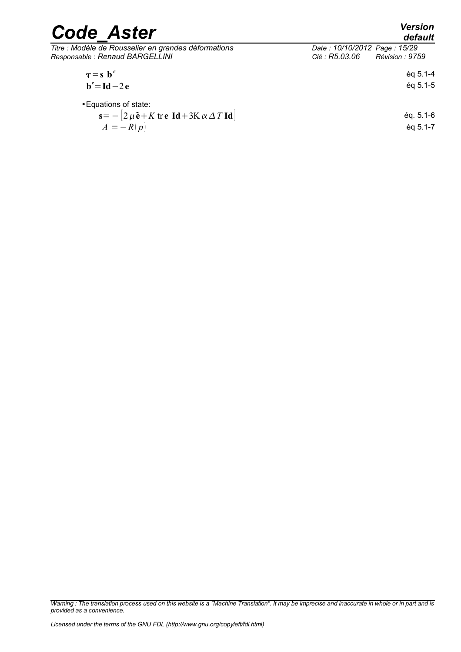| <b>Code Aster</b>                                                                                                                                                            | <b>Version</b><br>default                                         |  |
|------------------------------------------------------------------------------------------------------------------------------------------------------------------------------|-------------------------------------------------------------------|--|
| Titre : Modèle de Rousselier en grandes déformations<br>Responsable : Renaud BARGELLINI                                                                                      | Date: 10/10/2012 Page: 15/29<br>Clé : R5.03.06<br>Révision : 9759 |  |
| $\tau = s b^e$<br>$b^e = Id - 2e$                                                                                                                                            | $éq 5.1 - 4$<br>$éq 5.1 - 5$                                      |  |
| • Equations of state:<br>$\mathbf{s} = -[2\,\mu\,\mathbf{\tilde{e}} + K\,\mathbf{tr}\,\mathbf{e}\,\mathbf{Id} + 3\mathbf{K}\,\alpha\,\Delta\,T\,\mathbf{Id}]$<br>$A = -R(p)$ | $éq. 5.1-6$<br>ég 5.1-7                                           |  |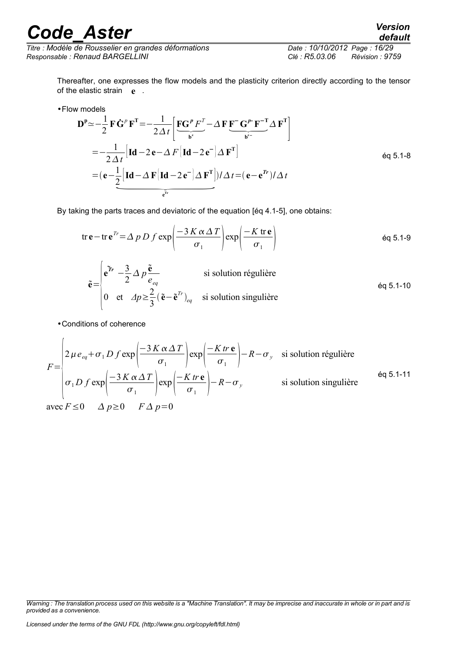*Titre : Modèle de Rousselier en grandes déformations Date : 10/10/2012 Page : 16/29 Responsable : Renaud BARGELLINI Clé : R5.03.06 Révision : 9759*

*default*

Thereafter, one expresses the flow models and the plasticity criterion directly according to the tensor of the elastic strain **e** .

•Flow models

$$
\mathbf{D}^{\mathsf{p}} \simeq -\frac{1}{2} \mathbf{F} \dot{\mathbf{G}}^{\mathsf{p}} \mathbf{F}^{\mathsf{T}} = -\frac{1}{2 \Delta t} \left[ \underbrace{\mathbf{F} \mathbf{G}^{\mathsf{p}} F^{\mathsf{T}}}_{\mathbf{b}^{\mathsf{e}}} - \Delta \mathbf{F} \underbrace{\mathbf{F}^{\mathsf{T}} \mathbf{G}^{\mathsf{p}} \mathbf{F}^{-\mathsf{T}}}_{\mathbf{b}^{\mathsf{e}}} \Delta \mathbf{F}^{\mathsf{T}} \right]
$$
\n
$$
= -\frac{1}{2 \Delta t} \left[ \mathbf{Id} - 2 \mathbf{e} - \Delta F \left[ \mathbf{Id} - 2 \mathbf{e}^{-} \right] \Delta \mathbf{F}^{\mathsf{T}} \right] \qquad \text{eq 5.1-8}
$$
\n
$$
= (\mathbf{e} - \underbrace{\frac{1}{2} \left[ \mathbf{Id} - \Delta \mathbf{F} \left[ \mathbf{Id} - 2 \mathbf{e}^{-} \right] \Delta \mathbf{F}^{\mathsf{T}} \right] }_{\mathbf{e}^{\mathsf{T}^{\mathsf{r}}}}) / \Delta t = (\mathbf{e} - \mathbf{e}^{\mathsf{T}^{\mathsf{r}}}) / \Delta t
$$

By taking the parts traces and deviatoric of the equation [éq 4.1-5], one obtains:

tr 
$$
\mathbf{e}
$$
 – tr  $\mathbf{e}^{Tr} = \Delta p D f \exp\left(\frac{-3 K \alpha \Delta T}{\sigma_1}\right) \exp\left(\frac{-K \text{ tr } \mathbf{e}}{\sigma_1}\right)$  éq 5.1-9  
\n
$$
\tilde{\mathbf{e}} = \begin{vmatrix}\n\tilde{\mathbf{e}}^{\text{Tr}} - \frac{3}{2} \Delta p \frac{\tilde{\mathbf{e}}}{e_{eq}} & \text{si solution régulière} \\
0 & \text{et } \Delta p \ge \frac{2}{3} (\tilde{\mathbf{e}} - \tilde{\mathbf{e}}^{Tr})_{eq} & \text{si solution singulière}\n\end{vmatrix}
$$

•Conditions of coherence

$$
F = \begin{pmatrix} 2 \mu e_{eq} + \sigma_1 D f \exp\left(\frac{-3 K \alpha \Delta T}{\sigma_1}\right) \exp\left(\frac{-K t r \mathbf{e}}{\sigma_1}\right) - R - \sigma_y & \text{si solution régulière} \\ \sigma_1 D f \exp\left(\frac{-3 K \alpha \Delta T}{\sigma_1}\right) \exp\left(\frac{-K t r \mathbf{e}}{\sigma_1}\right) - R - \sigma_y & \text{si solution singulière} \end{pmatrix}
$$
eq 5.1-11  
avec  $F \le 0$   $\Delta p \ge 0$   $F \Delta p = 0$ 

*Warning : The translation process used on this website is a "Machine Translation". It may be imprecise and inaccurate in whole or in part and is provided as a convenience.*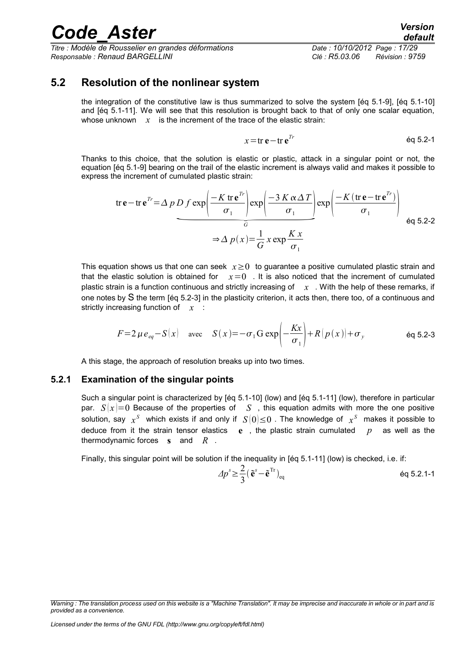*Titre : Modèle de Rousselier en grandes déformations Date : 10/10/2012 Page : 17/29 Responsable : Renaud BARGELLINI Clé : R5.03.06 Révision : 9759*

### **5.2 Resolution of the nonlinear system**

<span id="page-16-1"></span>the integration of the constitutive law is thus summarized to solve the system [éq 5.1-9], [éq 5.1-10] and [éq 5.1-11]. We will see that this resolution is brought back to that of only one scalar equation, whose unknown  $x$  is the increment of the trace of the elastic strain:

$$
x = \text{tr } \mathbf{e} - \text{tr } \mathbf{e}^{Tr} \tag{6q 5.2-1}
$$

Thanks to this choice, that the solution is elastic or plastic, attack in a singular point or not, the equation [éq 5.1-9] bearing on the trail of the elastic increment is always valid and makes it possible to express the increment of cumulated plastic strain:

From the equation 
$$
x = 0
$$
 and  $x = 0$  and  $y = 0$  and  $y = 0$ . Then,  $x = 0$  and  $y = 0$  and  $y = 0$  and  $y = 0$ . Then,  $x = 0$  and  $y = 0$  and  $y = 0$  and  $y = 0$  and  $y = 0$ . Then,  $x = 0$  and  $y = 0$  and  $y = 0$  and  $y = 0$  and  $y = 0$  and  $y = 0$  and  $y = 0$ . Then,  $x = 0$  and  $y = 0$  and  $y = 0$  and  $y = 0$  and  $y = 0$  and  $y = 0$  and  $y = 0$  and  $y = 0$  and  $y = 0$  and  $y = 0$  and  $y = 0$  and  $y = 0$  and  $y = 0$  and  $y = 0$  and  $y = 0$  and  $y = 0$  and  $y = 0$  and  $y = 0$  and  $y = 0$  and  $y = 0$  and  $y = 0$  and  $y = 0$  and  $y = 0$  and  $y = 0$  and  $y = 0$  and  $y = 0$  and  $y = 0$  and  $y = 0$  and  $y = 0$  and  $y = 0$  and  $y = 0$  and  $y = 0$  and  $y = 0$  and  $y = 0$  and 

This equation shows us that one can seek *x*≥0 to guarantee a positive cumulated plastic strain and that the elastic solution is obtained for  $x=0$ . It is also noticed that the increment of cumulated plastic strain is a function continuous and strictly increasing of *x* . With the help of these remarks, if one notes by S the term [éq 5.2-3] in the plasticity criterion, it acts then, there too, of a continuous and strictly increasing function of *x* :

$$
F=2\,\mu\,e_{eq}-S(x) \quad \text{avec} \quad S(x)=-\sigma_1 G \exp\left(-\frac{Kx}{\sigma_1}\right)+R\left(p(x)\right)+\sigma_y \qquad \text{eq 5.2-3}
$$

<span id="page-16-0"></span>A this stage, the approach of resolution breaks up into two times.

#### **5.2.1 Examination of the singular points**

Such a singular point is characterized by [éq 5.1-10] (low) and [éq 5.1-11] (low), therefore in particular par.  $S(x)=0$  Because of the properties of *S*, this equation admits with more the one positive solution, say  $\ _{X}{}^{S}$  which exists if and only if  $\ S(0){\leq}0$  . The knowledge of  $\ _{X}{}^{S}$  makes it possible to deduce from it the strain tensor elastics **e** , the plastic strain cumulated *p* as well as the thermodynamic forces **s** and *R* .

Finally, this singular point will be solution if the inequality in [éq 5.1-11] (low) is checked, i.e. if:

$$
\Delta p^s \ge \frac{2}{3} \left( \tilde{\mathbf{e}}^s - \tilde{\mathbf{e}}^{\mathrm{Tr}} \right)_{\mathrm{eq}} \tag{6q 5.2.1-1}
$$

*Warning : The translation process used on this website is a "Machine Translation". It may be imprecise and inaccurate in whole or in part and is provided as a convenience.*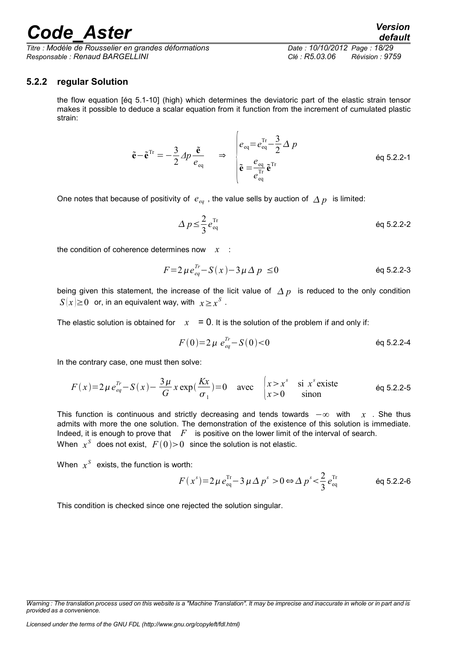*Titre : Modèle de Rousselier en grandes déformations Date : 10/10/2012 Page : 18/29 Responsable : Renaud BARGELLINI Clé : R5.03.06 Révision : 9759*

#### **5.2.2 regular Solution**

<span id="page-17-0"></span>the flow equation [éq 5.1-10] (high) which determines the deviatoric part of the elastic strain tensor makes it possible to deduce a scalar equation from it function from the increment of cumulated plastic strain:

$$
\tilde{\mathbf{e}} - \tilde{\mathbf{e}}^{\mathrm{Tr}} = -\frac{3}{2} \Delta p \frac{\tilde{\mathbf{e}}}{e_{\mathrm{eq}}} \qquad \Rightarrow \qquad \begin{vmatrix} e_{\mathrm{eq}} = e_{\mathrm{eq}}^{\mathrm{Tr}} - \frac{3}{2} \Delta p \\ \tilde{\mathbf{e}} = \frac{e_{\mathrm{eq}}}{e_{\mathrm{eq}}^{\mathrm{Tr}}} \tilde{\mathbf{e}}^{\mathrm{Tr}} \end{vmatrix} \qquad \text{eq 5.2.2-1}
$$

One notes that because of positivity of  $e_{eq}$ , the value sells by auction of  $\Delta p$  is limited:

$$
\Delta p \leq \frac{2}{3} e_{\text{eq}}^{\text{Tr}} \qquad \qquad \text{eq 5.2.2-2}
$$

the condition of coherence determines now *x* :

$$
F = 2 \mu e_{eq}^{Tr} - S(x) - 3 \mu \Delta p \le 0
$$

being given this statement, the increase of the licit value of  $\Delta p$  is reduced to the only condition  $S(x) \geq 0$  or, in an equivalent way, with  $x \geq x^S$  .

The elastic solution is obtained for  $x = 0$ . It is the solution of the problem if and only if:

$$
F(0)=2\,\mu \, e_{eq}^{Tr}-S(0)<0
$$

In the contrary case, one must then solve:

$$
F(x)=2\mu e_{eq}^{Tr}-S(x)-\frac{3\mu}{G}x\exp(\frac{Kx}{\sigma_1})=0 \quad \text{avec} \quad\n\begin{cases}\nx>x^s & \text{si } x^s \text{ existe} \\
x>0 & \text{ sinon}\n\end{cases}\n\quad \text{eq 5.2.2-5}
$$

This function is continuous and strictly decreasing and tends towards −∞ with *x* . She thus admits with more the one solution. The demonstration of the existence of this solution is immediate. Indeed, it is enough to prove that *F* is positive on the lower limit of the interval of search. When  $x^{\mathcal{S}}$  does not exist,  $\,F(0) {>} 0\,$  since the solution is not elastic.

When  $x^S$  exists, the function is worth:

$$
F(x^{s}) = 2\mu \, e_{\text{eq}}^{\text{Tr}} - 3\mu \, \Delta \, p^{s} > 0 \Leftrightarrow \Delta \, p^{s} < \frac{2}{3} \, e_{\text{eq}}^{\text{Tr}} \tag{6q\,5.2.2-6}
$$

This condition is checked since one rejected the solution singular.

*Warning : The translation process used on this website is a "Machine Translation". It may be imprecise and inaccurate in whole or in part and is provided as a convenience.*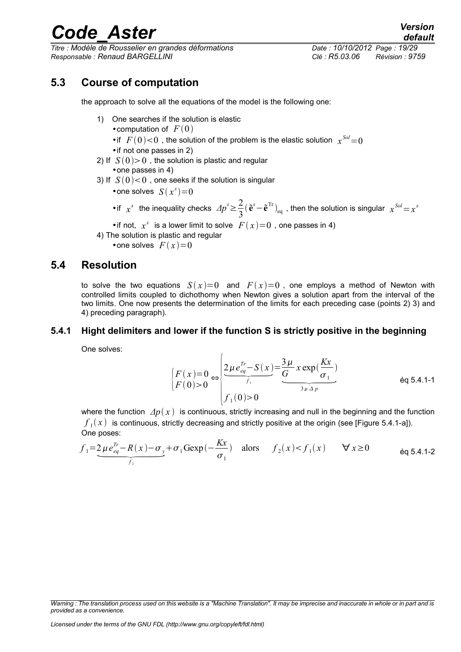*Titre : Modèle de Rousselier en grandes déformations Date : 10/10/2012 Page : 19/29 Responsable : Renaud BARGELLINI Clé : R5.03.06 Révision : 9759*

### **5.3 Course of computation**

<span id="page-18-2"></span>the approach to solve all the equations of the model is the following one:

- 1) One searches if the solution is elastic
	- computation of  $F(0)$
	- if  $F(0)$  < 0 , the solution of the problem is the elastic solution  $x^{Sol}$  = 0
	- •if not one passes in 2)
- 2) If  $S(0) > 0$ , the solution is plastic and regular
	- •one passes in 4)
- 3) If  $S(0)$  < 0 , one seeks if the solution is singular
	- one solves  $S(x^s) = 0$
	- •if  $x^s$  the inequality checks  $\Delta p^s \geq \frac{2}{3}$  $\frac{2}{3}(\tilde{\mathbf{e}}^{s}-\tilde{\mathbf{e}}^{\text{Tr}})_{\text{eq}}$  , then the solution is singular  $x^{Sol} = x^{s}$
	- if not,  $x^s$  is a lower limit to solve  $F(x)=0$ , one passes in 4)
- 4) The solution is plastic and regular
	- one solves  $F(x)=0$

### **5.4 Resolution**

<span id="page-18-1"></span>to solve the two equations  $S(x)=0$  and  $F(x)=0$ , one employs a method of Newton with controlled limits coupled to dichothomy when Newton gives a solution apart from the interval of the two limits. One now presents the determination of the limits for each preceding case (points 2) 3) and 4) preceding paragraph).

#### **5.4.1 Hight delimiters and lower if the function S is strictly positive in the beginning**

<span id="page-18-0"></span>One solves:

$$
\begin{cases}\nF(x)=0 & \text{if } P(x) = 0 \\
F(0) > 0\n\end{cases} \Rightarrow \begin{cases}\n\frac{2\mu e_{eq}^{Tr} - S(x)}{f_1} = \frac{3\mu}{G} x \exp(\frac{Kx}{\sigma_1}) \\
f_1(0) > 0\n\end{cases} \tag{6q 5.4.1-1}
$$

where the function  $\Delta p(x)$  is continuous, strictly increasing and null in the beginning and the function  $f_1(x)$  is continuous, strictly decreasing and strictly positive at the origin (see [Figure 5.4.1-a]).<br>One poses:<br> $f$  ${{f}_{{\rm{1}}}}(x)$  is continuous, strictly decreasing and strictly positive at the origin (see [Figure 5.4.1-a]). One poses:

$$
f_1 = 2\mu e_{eq}^{Tr} - R(x) - \sigma_y + \sigma_1 G \exp(-\frac{Kx}{\sigma_1}) \quad \text{alors} \quad f_2(x) < f_1(x) \qquad \forall x \ge 0 \tag{6q\ 5.4.1-2}
$$

*Warning : The translation process used on this website is a "Machine Translation". It may be imprecise and inaccurate in whole or in part and is provided as a convenience.*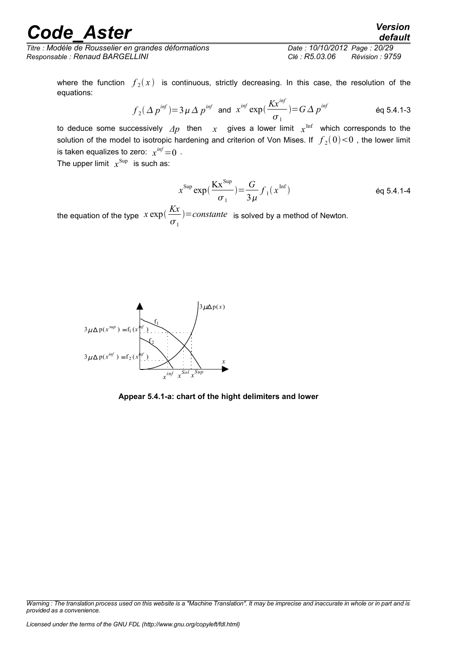*Titre : Modèle de Rousselier en grandes déformations Date : 10/10/2012 Page : 20/29 Responsable : Renaud BARGELLINI Clé : R5.03.06 Révision : 9759*

*default*

where the function  $\,f_{\,2}(\,x\,)$  is continuous, strictly decreasing. In this case, the resolution of the equations:

$$
f_2(\Delta p^{inf}) = 3\mu \Delta p^{inf} \text{ and } x^{inf} \exp(\frac{Kx^{inf}}{\sigma_1}) = G\Delta p^{inf} \qquad \text{Eq 5.4.1-3}
$$

to deduce some successively  $\varDelta p$  then  $\chi$  gives a lower limit  $\chi^\mathrm{Inf}$  which corresponds to the solution of the model to isotropic hardening and criterion of Von Mises. If  $\,\,f_2(0) {<} 0$  , the lower limit is taken equalizes to zero:  $x^{\textit{inf}}\!=\!0$  .

The upper limit  $x^{\text{Sup}}$  is such as:

$$
x^{\text{Sup}} \exp\left(\frac{\text{K}x^{\text{Sup}}}{\sigma_1}\right) = \frac{G}{3\,\mu} f_1(x^{\text{Inf}})
$$
éq 5.4.1-4

the equation of the type  $\int x \exp\left(\frac{Kx}{K}\right)$  $\sigma_{1}$  $=constante$  is solved by a method of Newton.



**Appear 5.4.1-a: chart of the hight delimiters and lower**

*Warning : The translation process used on this website is a "Machine Translation". It may be imprecise and inaccurate in whole or in part and is provided as a convenience.*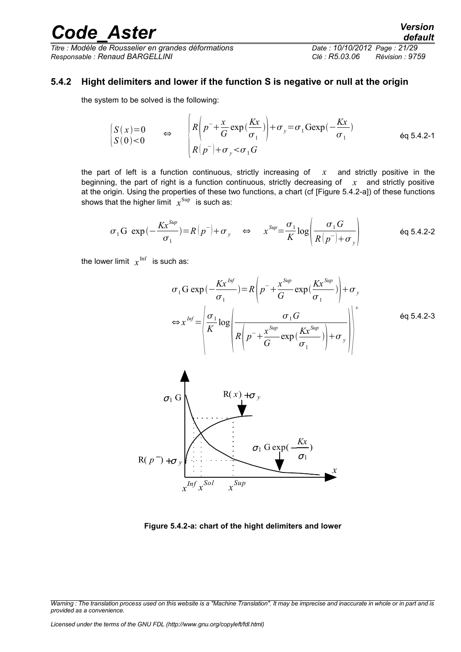*Titre : Modèle de Rousselier en grandes déformations Date : 10/10/2012 Page : 21/29 Responsable : Renaud BARGELLINI Clé : R5.03.06 Révision : 9759*

#### **5.4.2 Hight delimiters and lower if the function S is negative or null at the origin**

<span id="page-20-0"></span>the system to be solved is the following:

$$
\begin{array}{ccc}\nS(x)=0 & \Leftrightarrow & R\left(p^{-}+\frac{x}{G}\exp\left(\frac{Kx}{\sigma_{1}}\right)\right)+\sigma_{y}=\sigma_{1}\text{Gexp}\left(-\frac{Kx}{\sigma_{1}}\right) \\
S(0)<0 & R\left(p^{-}\right)+\sigma_{y}<\sigma_{1}G\n\end{array}
$$
\neq 5.4.2-1

the part of left is a function continuous, strictly increasing of *x* and strictly positive in the beginning, the part of right is a function continuous, strictly decreasing of *x* and strictly positive at the origin. Using the properties of these two functions, a chart (cf [Figure 5.4.2-a]) of these functions shows that the higher limit  $\,\,x^{\rm Sup} \,\,$  is such as:

$$
\sigma_1 G \exp(-\frac{Kx^{Sup}}{\sigma_1}) = R\left(p^{-}\right) + \sigma_y \quad \Leftrightarrow \quad x^{Sup} = \frac{\sigma_1}{K} \log \left(\frac{\sigma_1 G}{R\left(p^{-}\right) + \sigma_y}\right) \tag{6q\ 5.4.2-2}
$$

the lower limit  $x^{\inf}$  is such as:

$$
\sigma_1 G \exp\left(-\frac{Kx^{Inf}}{\sigma_1}\right) = R\left(p^{-} + \frac{x^{Sup}}{G}\exp\left(\frac{Kx^{Sup}}{\sigma_1}\right)\right) + \sigma_y
$$
\n
$$
\Leftrightarrow x^{Inf} = \left|\frac{\sigma_1}{K} \log \left(\frac{\sigma_1 G}{R\left(p^{-} + \frac{x^{Sup}}{G}\exp\left(\frac{Kx^{Sup}}{\sigma_1}\right)\right) + \sigma_y}\right)\right|^{+}
$$
\n
$$
\Leftrightarrow q = 5.4.2-3
$$



**Figure 5.4.2-a: chart of the hight delimiters and lower**

*Warning : The translation process used on this website is a "Machine Translation". It may be imprecise and inaccurate in whole or in part and is provided as a convenience.*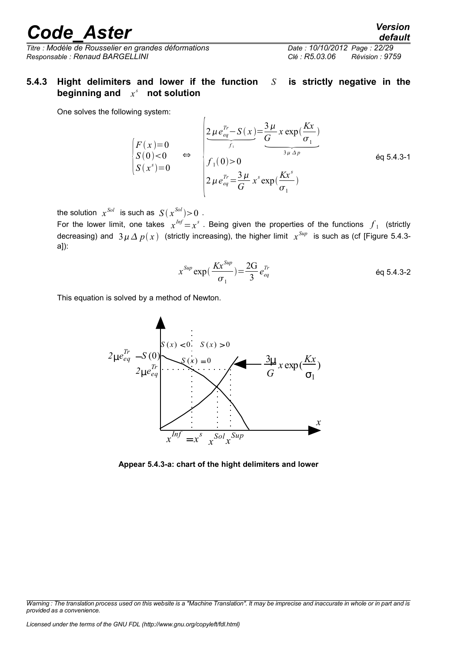*Titre : Modèle de Rousselier en grandes déformations Date : 10/10/2012 Page : 22/29 Responsable : Renaud BARGELLINI Clé : R5.03.06 Révision : 9759*

### <span id="page-21-0"></span>**5.4.3 Hight delimiters and lower if the function** *S* **is strictly negative in the beginning and** *x s*  **not solution**

 $\overline{1}$ 

One solves the following system:

$$
\begin{array}{ccc}\n\text{ring system:} \\
\begin{bmatrix}\nF(x)=0 \\
S(0) < 0 \\
S(x^s)=0\n\end{bmatrix} & \Leftrightarrow & \begin{cases}\n2\mu e_{eq}^{Tr} - S(x) = \frac{3\mu}{G} x \exp\left(\frac{Kx}{\sigma_1}\right) \\
f_1(0) > 0 \\
2\mu e_{eq}^{Tr} = \frac{3\mu}{G} x^s \exp\left(\frac{Kx^s}{\sigma_1}\right)\n\end{cases}\n\end{array}\n\tag{6q 5.4.3-1}
$$

the solution  $x^{Sol}$  is such as  $S(x^{Sol}){>}0$  .

For the lower limit, one takes  $x^{Inf}=x^s$  . Being given the properties of the functions  $f_1$  (strictly decreasing) and  $3\,\mu\,\Delta\,p(\,x\,)$  (strictly increasing), the higher limit  $\,x^{Sup}\,$  is such as (cf [Figure 5.4.3a]):

$$
x^{Sup} \exp\left(\frac{Kx^{Sup}}{\sigma_1}\right) = \frac{2G}{3} e_{eq}^{Tr}
$$

This equation is solved by a method of Newton.



**Appear 5.4.3-a: chart of the hight delimiters and lower**

*default*

*Warning : The translation process used on this website is a "Machine Translation". It may be imprecise and inaccurate in whole or in part and is provided as a convenience.*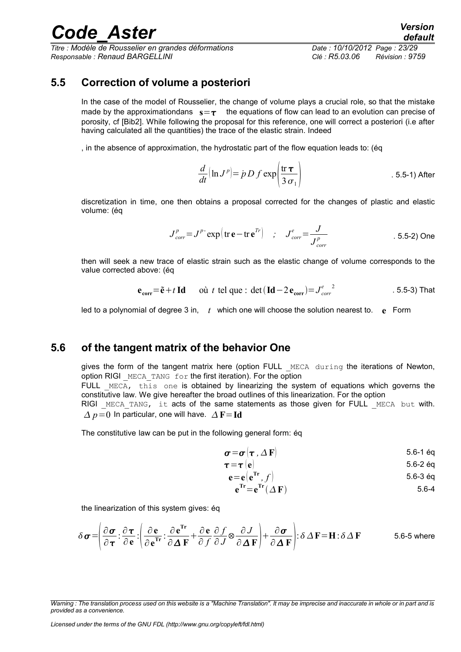*Titre : Modèle de Rousselier en grandes déformations Date : 10/10/2012 Page : 23/29 Responsable : Renaud BARGELLINI Clé : R5.03.06 Révision : 9759*

### **5.5 Correction of volume a posteriori**

<span id="page-22-1"></span>In the case of the model of Rousselier, the change of volume plays a crucial role, so that the mistake made by the approximationdans  $s = \tau$  the equations of flow can lead to an evolution can precise of porosity, cf [Bib2]. While following the proposal for this reference, one will correct a posteriori (i.e after having calculated all the quantities) the trace of the elastic strain. Indeed

, in the absence of approximation, the hydrostatic part of the flow equation leads to: (éq

$$
\frac{d}{dt}(\ln J^p) = \dot{p} D f \exp\left(\frac{\text{tr }\tau}{3 \sigma_1}\right)
$$
 5.5-1) After

discretization in time, one then obtains a proposal corrected for the changes of plastic and elastic volume: (éq

$$
J_{corr}^p = J^p \exp\left(\text{tr}\,\mathbf{e} - \text{tr}\,\mathbf{e}^{Tr}\right) \quad ; \quad J_{corr}^e = \frac{J}{J_{corr}^p} \tag{5.5-2) One}
$$

then will seek a new trace of elastic strain such as the elastic change of volume corresponds to the value corrected above: (éq

$$
\mathbf{e}_{\text{corr}} = \tilde{\mathbf{e}} + t \operatorname{Id} \qquad \text{on } t \text{ tel que : det}(\operatorname{Id} - 2\mathbf{e}_{\text{corr}}) = J_{corr}^{e^2} \tag{5.5-3} \text{ That}
$$

led to a polynomial of degree 3 in, *t* which one will choose the solution nearest to. **e** Form

### **5.6 of the tangent matrix of the behavior One**

<span id="page-22-0"></span>gives the form of the tangent matrix here (option FULL MECA during the iterations of Newton, option RIGI MECA TANG for the first iteration). For the option FULL  $MECA$ , this one is obtained by linearizing the system of equations which governs the

constitutive law. We give hereafter the broad outlines of this linearization. For the option RIGI MECA TANG, it acts of the same statements as those given for FULL MECA but with.

 $\Delta p = 0$  In particular, one will have.  $\Delta F = Id$ 

The constitutive law can be put in the following general form: éq

$$
\boldsymbol{\sigma}\!=\!\boldsymbol{\sigma}\left(\boldsymbol{\tau}\;,\Delta\,\mathbf{F}\right) \tag{5.6-1}
$$

$$
\boldsymbol{\tau} = \boldsymbol{\tau} \left( \mathbf{e} \right) \tag{5.6-2 eq}
$$

$$
\mathbf{e} = \mathbf{e} \left( \mathbf{e}^{\mathrm{Tr}} \, , \, f \right) \tag{5.6-3.6q}
$$

$$
e^{Tr} = e^{Tr} (\Delta F) \tag{5.6-4}
$$

the linearization of this system gives: éq

$$
\delta \boldsymbol{\sigma} = \left( \frac{\partial \boldsymbol{\sigma}}{\partial \boldsymbol{\tau}} : \frac{\partial \boldsymbol{\tau}}{\partial \mathbf{e}} : \left( \frac{\partial \mathbf{e}}{\partial \mathbf{e}^{\mathrm{Tr}}} : \frac{\partial \mathbf{e}^{\mathrm{Tr}}}{\partial \Delta \mathbf{F}} + \frac{\partial \mathbf{e}}{\partial f} \frac{\partial f}{\partial J} \otimes \frac{\partial J}{\partial \Delta \mathbf{F}} \right) + \frac{\partial \boldsymbol{\sigma}}{\partial \Delta \mathbf{F}} \right) : \delta \Delta \mathbf{F} = \mathbf{H} : \delta \Delta \mathbf{F}
$$
 5.6-5 where

*Warning : The translation process used on this website is a "Machine Translation". It may be imprecise and inaccurate in whole or in part and is provided as a convenience.*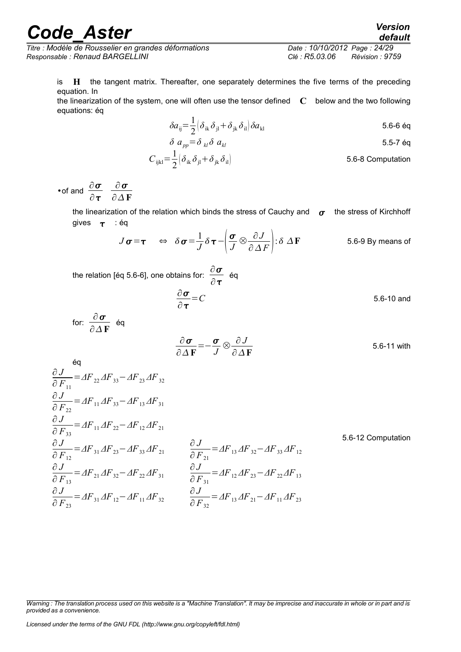*Titre : Modèle de Rousselier en grandes déformations Date : 10/10/2012 Page : 24/29 Responsable : Renaud BARGELLINI Clé : R5.03.06 Révision : 9759*

is **H** the tangent matrix. Thereafter, one separately determines the five terms of the preceding equation. In

the linearization of the system, one will often use the tensor defined **C** below and the two following equations: éq

$$
\delta a_{ij} = \frac{1}{2} \left( \delta_{ik} \delta_{jl} + \delta_{jk} \delta_{il} \right) \delta a_{kl} \tag{5.6-6.4}
$$

$$
\delta a_{pp} = \delta_{kl} \delta a_{kl} \tag{5.5-7}
$$

$$
C_{ijkl} = \frac{1}{2} \left( \delta_{ik} \delta_{jl} + \delta_{jk} \delta_{il} \right)
$$
 5.6-8 Computation

•of and  $\frac{\partial \boldsymbol{\sigma}}{\partial \boldsymbol{\sigma}}$  $\partial$  T  $\partial$   $\pmb{\sigma}$ ∂**F**

> the linearization of the relation which binds the stress of Cauchy and  $\sigma$  the stress of Kirchhoff gives  $\tau$  : éq

$$
J\sigma = \tau
$$
  $\Leftrightarrow \delta \sigma = \frac{1}{J} \delta \tau - \left(\frac{\sigma}{J} \otimes \frac{\partial J}{\partial \Delta F}\right)$ :  $\delta \Delta F$  5.6-9 By means of

the relation [éq 5.6-6], one obtains for:  $\frac{\partial \boldsymbol{\sigma}}{\partial \boldsymbol{\sigma}}$  $\frac{\partial}{\partial \tau}$  éq

$$
\frac{\partial \sigma}{\partial \tau} = C \tag{5.6-10 and}
$$

for: 
$$
\frac{\partial \sigma}{\partial \Delta \mathbf{F}}
$$
 éq  
\n
$$
\frac{\partial \sigma}{\partial \Delta \mathbf{F}} = -\frac{\sigma}{J} \otimes \frac{\partial J}{\partial \Delta \mathbf{F}}
$$
\n5.6-11 with

$$
\frac{\partial J}{\partial F_{11}} = AF_{22}AF_{33} - AF_{23}AF_{32}
$$
\n
$$
\frac{\partial J}{\partial F_{22}} = AF_{11}AF_{33} - AF_{13}AF_{31}
$$
\n
$$
\frac{\partial J}{\partial F_{33}} = AF_{11}AF_{22} - AF_{12}AF_{21}
$$
\n
$$
\frac{\partial J}{\partial F_{12}} = AF_{31}AF_{23} - AF_{33}AF_{21}
$$
\n
$$
\frac{\partial J}{\partial F_{12}} = AF_{21}AF_{32} - AF_{33}AF_{21}
$$
\n
$$
\frac{\partial J}{\partial F_{13}} = AF_{21}AF_{32} - AF_{22}AF_{31}
$$
\n
$$
\frac{\partial J}{\partial F_{13}} = AF_{12}AF_{22} - AF_{21}AF_{32}
$$
\n
$$
\frac{\partial J}{\partial F_{21}} = AF_{12}AF_{22} - AF_{21}AF_{32}
$$
\n
$$
\frac{\partial J}{\partial F_{32}} = AF_{13}AF_{21} - AF_{11}AF_{23}
$$
\n
$$
\frac{\partial J}{\partial F_{32}} = AF_{13}AF_{21} - AF_{11}AF_{23}
$$
\n
$$
\frac{\partial J}{\partial F_{32}} = AF_{13}AF_{21} - AF_{11}AF_{23}
$$

*Warning : The translation process used on this website is a "Machine Translation". It may be imprecise and inaccurate in whole or in part and is provided as a convenience.*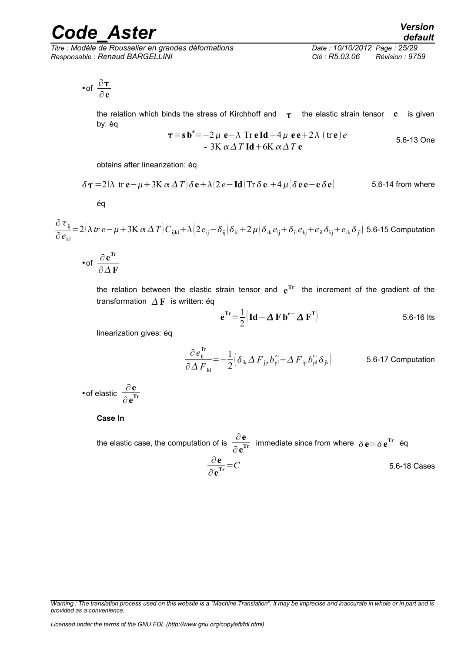*Titre : Modèle de Rousselier en grandes déformations Date : 10/10/2012 Page : 25/29 Responsable : Renaud BARGELLINI Clé : R5.03.06 Révision : 9759*

$$
\bullet \text{ of } \frac{\partial \tau}{\partial e}
$$

the relation which binds the stress of Kirchhoff and  $\tau$  the elastic strain tensor **e** is given by: éq

$$
\tau = s be = -2 \mu e - \lambda Tr e Id + 4 \mu e e + 2 \lambda (tre) e
$$
  
- 3K  $\alpha \Delta T$  Id + 6K  $\alpha \Delta T$  e  
5.6-13 One

obtains after linearization: éq

$$
\delta \tau = 2(\lambda \text{ tr } \mathbf{e} - \mu + 3\mathbf{K} \alpha \Delta T) \delta \mathbf{e} + \lambda (2e - \mathbf{Id}) \text{Tr } \delta \mathbf{e} + 4\mu (\delta \mathbf{e} \mathbf{e} + \mathbf{e} \delta \mathbf{e})
$$
 5.6-14 from where

éq

 $\partial$   $\tau}_{\rm ij}$ ∂*e*kl  $\pi=2(\lambda\,tr\,e-\mu+3\mathrm{K}\,\alpha\,\varDelta\,T)C_{\mathrm{i\bar{j}k\bar{l}}}+\lambda\big(2\bm{\mathit{e}}_{\mathrm{i}\bar{j}}\!-\!\delta_{\mathrm{i}\bar{j}}\big)\delta_{\mathrm{k}\bar{l}}\!+\!2\,\mu\big(\delta_{\mathrm{i}\bar{k}}\bm{\mathit{e}}_{\mathrm{j}\bar{j}}\!+\!\delta_{\mathrm{i}\bar{l}}\bm{\mathit{e}}_{\mathrm{k}\bar{j}}\!+\!\epsilon_{\mathrm{i}\bar{k}}\delta_{\mathrm{j}\bar{l}}\big)$ 5.6-15 Computation

$$
\bullet \text{of } \frac{\partial e^{r_r}}{\partial \Delta F}
$$

the relation between the elastic strain tensor and **e Tr** the increment of the gradient of the transformation  $\Delta F$  is written: éq

$$
\mathbf{e}^{\mathrm{Tr}} = \frac{1}{2} \left( \mathbf{Id} - \Delta \mathbf{F} \, \mathbf{b}^{\mathrm{e}} \, \Delta \mathbf{F}^{\mathrm{T}} \right) \tag{5.6-16}
$$

linearization gives: éq

$$
\frac{\partial e_{ij}^{Tr}}{\partial \Delta F_{kl}} = -\frac{1}{2} \Big( \delta_{ik} \Delta F_{jp} b_{pl}^{e} + \Delta F_{ip} b_{pl}^{e} \delta_{jk} \Big)
$$
 5.6-17 Computation

•of elastic ∂**e** ∂**e Tr**

#### **Case In**

the elastic case, the computation of is  $\frac{\partial \mathbf{e}}{\partial \mathbf{I}}$  $\frac{\partial \mathbf{c}}{\partial \mathbf{e}^{\text{Tr}}}$  immediate since from where  $\delta \mathbf{e} = \delta \mathbf{e}^{\text{Tr}}$  éq ∂**e** ∂**e Tr** =*C* 5.6-18 Cases

*Warning : The translation process used on this website is a "Machine Translation". It may be imprecise and inaccurate in whole or in part and is provided as a convenience.*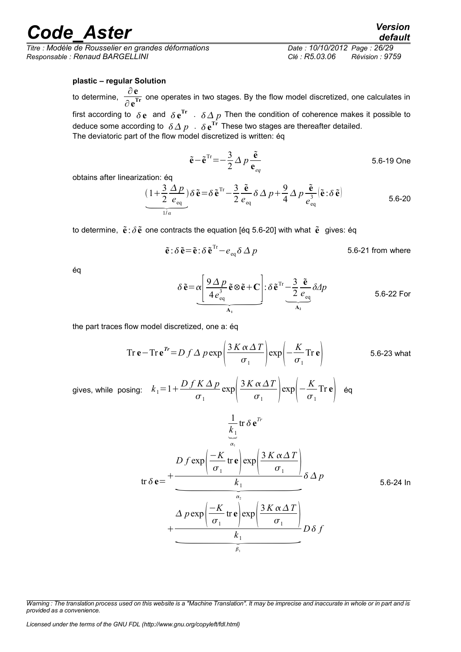*Titre : Modèle de Rousselier en grandes déformations Date : 10/10/2012 Page : 26/29 Responsable : Renaud BARGELLINI Clé : R5.03.06 Révision : 9759*

#### **plastic – regular Solution**

to determine, ∂**e** <u>**TOP**</u> one operates in two stages. By the flow model discretized, one calculates in  $\partial \mathbf{e}^{\text{Tr}}$ first according to  $\delta{\bf e}$  and  $\delta{\bf e}^{\rm Tr}$  .  $\delta\varDelta\,p$  Then the condition of coherence makes it possible to deduce some according to  $\delta \Delta p + \delta \, \mathbf{e}^{\text{Tr}}$  These two stages are thereafter detailed.

The deviatoric part of the flow model discretized is written: éq

 $\tilde{\mathbf{e}} - \tilde{\mathbf{e}}^{\text{Tr}} = -\frac{3}{2}$ 2  $\Delta p \stackrel{\tilde{\mathbf{e}}}{\sim}$ **e***eq* 5.6-19 One

obtains after linearization: éq  
\n
$$
\underbrace{(1+\frac{3}{2}\frac{\Delta p}{e_{\text{eq}}})\delta \tilde{\mathbf{e}} = \delta \tilde{\mathbf{e}}^{\text{Tr}} - \frac{3}{2}\frac{\tilde{\mathbf{e}}}{e_{\text{eq}}}\delta \Delta p + \frac{9}{4}\Delta p \frac{\tilde{\mathbf{e}}}{e_{\text{eq}}^3} |\tilde{\mathbf{e}} : \delta \tilde{\mathbf{e}}]}_{\text{eq}}
$$
\n5.6-20

to determine,  $\tilde{\mathbf{e}}$ :  $\delta \tilde{\mathbf{e}}$  one contracts the equation [éq 5.6-20] with what  $\tilde{\mathbf{e}}$  gives: éq

$$
\tilde{\mathbf{e}} : \delta \tilde{\mathbf{e}} = \tilde{\mathbf{e}} : \delta \tilde{\mathbf{e}}^{\text{Tr}} - e_{eq} \delta \Delta p
$$
 5.6-21 from where

éq

$$
\delta \tilde{\mathbf{e}} = \alpha \left[ \frac{9 \Delta p}{4 e_{\text{eq}}^3} \tilde{\mathbf{e}} \otimes \tilde{\mathbf{e}} + \mathbf{C} \right] : \delta \tilde{\mathbf{e}}^{\text{Tr}} - \frac{3}{2} \frac{\tilde{\mathbf{e}}}{e_{\text{eq}}} \delta \Delta p
$$
5.6-22 For

the part traces flow model discretized, one a: éq

$$
\text{Tr}\,\mathbf{e} - \text{Tr}\,\mathbf{e}^{\textit{Tr}} = D \, f \, \Delta \, p \exp\left(\frac{3 \, K \, \alpha \, \Delta \, T}{\sigma_1}\right) \exp\left(-\frac{K}{\sigma_1} \text{Tr}\,\mathbf{e}\right) \tag{5.6-23 what}
$$

gives, while posing:  $k_1 = 1 + \frac{Df K \Delta p}{r}$  $\frac{K\Delta p}{\sigma_1}$ exp $\frac{3K\alpha\Delta T}{\sigma_1}$  $\left(\frac{\alpha \Delta T}{\sigma_1}\right) \exp\left(-\frac{K}{\sigma_1}\right)$  $\frac{\pi}{\sigma_1}$ Tr **e**  $\Big|$  **éq** 

tr **e**= 1 *k*1 1 tr **e** *Tr <sup>D</sup> <sup>f</sup>* exp −*K* 1 tr **<sup>e</sup>** exp 3 *K T* <sup>1</sup> *<sup>k</sup>* <sup>1</sup> 2 *p <sup>p</sup>*exp −*K* 1 tr **<sup>e</sup>** exp 3 *K T* <sup>1</sup> *<sup>k</sup>* <sup>1</sup> 1 *D f* 5.6-24 In

*Warning : The translation process used on this website is a "Machine Translation". It may be imprecise and inaccurate in whole or in part and is provided as a convenience.*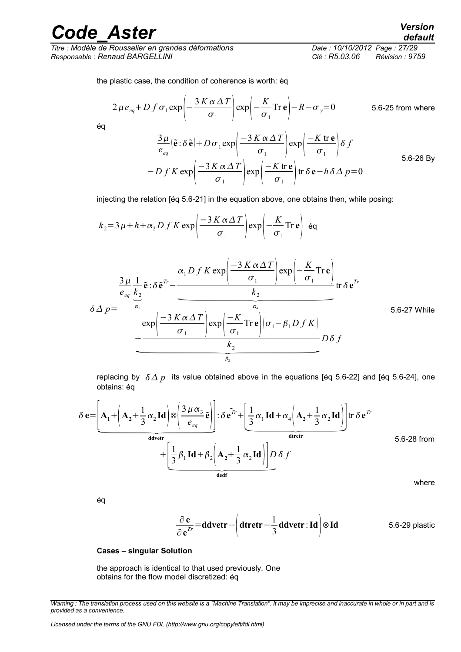*Titre : Modèle de Rousselier en grandes déformations Date : 10/10/2012 Page : 27/29 Responsable : Renaud BARGELLINI Clé : R5.03.06 Révision : 9759*

the plastic case, the condition of coherence is worth: éq

$$
2\mu e_{eq} + D f \sigma_1 \exp\left(-\frac{3K\alpha\Delta T}{\sigma_1}\right) \exp\left(-\frac{K}{\sigma_1}\text{Tr}\,\mathbf{e}\right) - R - \sigma_y = 0 \qquad 5.6-25 \text{ from where}
$$

éq

$$
\frac{3\mu}{e_{eq}} (\tilde{\mathbf{e}} : \delta \tilde{\mathbf{e}}) + D \sigma_1 \exp\left(\frac{-3 K \alpha \Delta T}{\sigma_1}\right) \exp\left(\frac{-K \operatorname{tr} \mathbf{e}}{\sigma_1}\right) \delta f
$$
\n
$$
-D f K \exp\left(\frac{-3 K \alpha \Delta T}{\sigma_1}\right) \exp\left(\frac{-K \operatorname{tr} \mathbf{e}}{\sigma_1}\right) \operatorname{tr} \delta \mathbf{e} - h \delta \Delta p = 0
$$
\n5.6-26 By

injecting the relation [éq 5.6-21] in the equation above, one obtains then, while posing:

$$
k_2 = 3 \mu + h + \alpha_2 D f K \exp\left(\frac{-3 K \alpha \Delta T}{\sigma_1}\right) \exp\left(-\frac{K}{\sigma_1} \text{Tr } \mathbf{e}\right) \text{ } 6\mathbf{q}
$$

$$
\sigma_1
$$
 |  $\sigma_1$  |  $\sigma_1$  |  $\sigma_1$  |  
\ninjecting the relation [éq 5.6-21] in the equation above, one obtains then, while posing:  
\n
$$
k_2 = 3 \mu + h + \alpha_2 D f K \exp\left(\frac{-3 K \alpha \Delta T}{\sigma_1}\right) \exp\left(-\frac{K}{\sigma_1} \text{Tr} \mathbf{e}\right) \text{ éq}
$$
\n
$$
\frac{3 \mu}{e_{eq}} \frac{1}{k_2} \tilde{\mathbf{e}} : \delta \tilde{\mathbf{e}}^{Tr} - \frac{\alpha_1 D f K \exp\left(\frac{-3 K \alpha \Delta T}{\sigma_1}\right) \exp\left(-\frac{K}{\sigma_1} \text{Tr} \mathbf{e}\right)}{k_2} \text{ tr } \delta \mathbf{e}^{Tr}
$$
\n
$$
\delta \Delta p = \exp\left(\frac{-3 K \alpha \Delta T}{\sigma_1}\right) \exp\left(\frac{-K}{\sigma_1} \text{Tr} \mathbf{e}\right) (\sigma_1 - \beta_1 D f K)
$$
\n
$$
+ \frac{k_2}{k_2}
$$
\n
$$
+ \frac{k_2}{k_2}
$$
\n
$$
= \frac{k_2}{k_2}
$$
\n
$$
= 0.66422 \text{ mJ}
$$
\n
$$
= 0.66422 \text{ mJ}
$$
\n
$$
= 0.66422 \text{ mJ}
$$
\n
$$
= 0.66422 \text{ mJ}
$$
\n
$$
= 0.66422 \text{ mJ}
$$
\n
$$
= 0.66422 \text{ mJ}
$$
\n
$$
= 0.66422 \text{ mJ}
$$
\n
$$
= 0.66422 \text{ mJ}
$$
\n
$$
= 0.66422 \text{ mJ}
$$
\n
$$
= 0.66422 \text{ mJ}
$$
\n
$$
= 0.66422 \text{ mJ}
$$
\n
$$
= 0.66422 \text{ mJ}
$$
\n
$$
= 0.66422 \text{ mJ}
$$
\n
$$
= 0.66422 \text{ mJ}
$$

replacing by  $\delta \Delta p$  its value obtained above in the equations [éq 5.6-22] and [éq 5.6-24], one obtains: éq

replacing by 
$$
\delta \Delta p
$$
 its value obtained above in the equations [eq 5.6-22] and [eq 5.6-24], one obtains: éq  
\n
$$
\delta \mathbf{e} = \left[ \mathbf{A}_1 + \left( \mathbf{A}_2 + \frac{1}{3} \alpha_2 \mathbf{Id} \right) \otimes \left( \frac{3 \mu \alpha_3}{e_{eq}} \tilde{\mathbf{e}} \right) \right] : \delta \tilde{\mathbf{e}}^{Tr} + \left[ \frac{1}{3} \alpha_1 \mathbf{Id} + \alpha_4 \left( \mathbf{A}_2 + \frac{1}{3} \alpha_2 \mathbf{Id} \right) \right] \text{tr } \delta \mathbf{e}^{Tr} + \left[ \frac{1}{3} \beta_1 \mathbf{Id} + \beta_2 \left( \mathbf{A}_2 + \frac{1}{3} \alpha_2 \mathbf{Id} \right) \right] D \delta f
$$
\n5.6-28 from where

éq

$$
\frac{\partial \mathbf{e}}{\partial \mathbf{e}^{r}} = \mathbf{d} \mathbf{d} \mathbf{v} \mathbf{e} \mathbf{tr} + \left( \mathbf{d} \mathbf{t} \mathbf{r} \mathbf{e} \mathbf{tr} - \frac{1}{3} \mathbf{d} \mathbf{d} \mathbf{v} \mathbf{e} \mathbf{tr} : \mathbf{Id} \right) \otimes \mathbf{Id}
$$
 5.6-29 plastic

#### **Cases – singular Solution**

the approach is identical to that used previously. One obtains for the flow model discretized: éq

*Warning : The translation process used on this website is a "Machine Translation". It may be imprecise and inaccurate in whole or in part and is provided as a convenience.*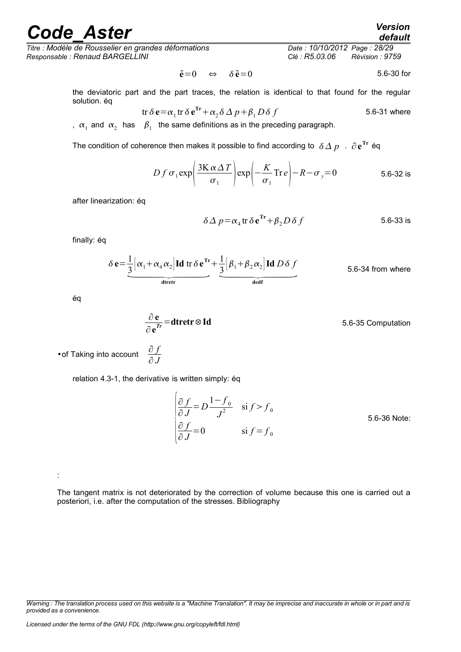*Titre : Modèle de Rousselier en grandes déformations Date : 10/10/2012 Page : 28/29 Responsable : Renaud BARGELLINI Clé : R5.03.06 Révision : 9759*

*Warning : The translation process used on this website is a "Machine Translation". It may be imprecise and inaccurate in whole or in part and is provided as a convenience.*

 $\tilde{\mathbf{e}} = 0 \Leftrightarrow \delta \tilde{\mathbf{e}} = 0$  5.6-30 for

the deviatoric part and the part traces, the relation is identical to that found for the regular solution. éq

$$
\text{tr}\,\delta\,\mathbf{e} = \alpha_1 \,\text{tr}\,\delta\,\mathbf{e}^{\text{Tr}} + \alpha_2 \,\delta\,\Delta\,p + \beta_1\,D\,\delta\,f \tag{5.6-31} \text{ where}
$$

,  $\alpha_1$  and  $\alpha_2$  has  $\beta_1$  the same definitions as in the preceding paragraph.

The condition of coherence then makes it possible to find according to  $\ \delta\Delta\ p\ \cdot\ \partial\,{\bf e}^{{\rm Tr}}$  éq

$$
D f \sigma_1 \exp\left(\frac{3K \alpha \Delta T}{\sigma_1}\right) \exp\left(-\frac{K}{\sigma_1} \text{Tr} \, e\right) - R - \sigma_y = 0 \tag{5.6-32 is}
$$

after linearization: éq

$$
\delta \Delta p = \alpha_4 \text{tr } \delta \mathbf{e}^{\text{Tr}} + \beta_2 D \delta f \qquad 5.6-33 \text{ is}
$$

finally: éq

$$
\delta \Delta p = \alpha_4 \text{tr } \delta \mathbf{e}^{\text{Tr}} + \beta_2 D \delta f
$$
 5.6-33 is  

$$
\delta \mathbf{e} = \frac{1}{3} \left[ \alpha_1 + \alpha_4 \alpha_2 \right] \text{Id} \text{tr } \delta \mathbf{e}^{\text{Tr}} + \frac{1}{3} \left[ \beta_1 + \beta_2 \alpha_2 \right] \text{Id} D \delta f
$$
 5.6-34 from where

éq

:

$$
\frac{\partial e}{\partial e^{r}} = \text{d}t \text{retr} \otimes \text{Id}
$$
 5.6-35 Computation

•of Taking into account <sup>∂</sup> *<sup>f</sup>* ∂ *J*

relation 4.3-1, the derivative is written simply: éq

∂**e**

$$
\begin{cases}\n\frac{\partial f}{\partial J} = D \frac{1 - f_0}{J^2} & \text{si } f > f_0 \\
\frac{\partial f}{\partial J} = 0 & \text{si } f = f_0\n\end{cases}
$$
\n5.6-36 Note:

The tangent matrix is not deteriorated by the correction of volume because this one is carried out a posteriori, i.e. after the computation of the stresses. Bibliography

*default*